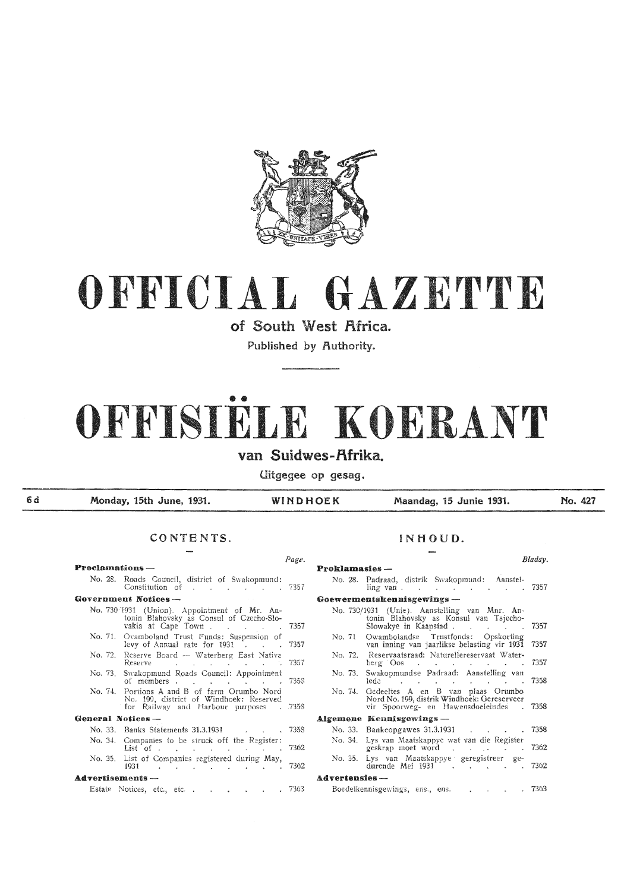

## OFFICIAL GAZETTE

of South West Africa.

Published by Authority.

# • • OFFISIELE KOERANT

van Suidwes-f\frika.

Uitgegee op gesag.

6 d

Monday, 15th June, 1931. WINDHOEK Maandag, 15 Junie 1931.

No. 427

#### CONTENTS. INHOUD.

#### **Proclamations**  $\rightarrow$  **Proclamations**  $\rightarrow$ No. 28. Roads Council, district of Swakopmund: Constitution of 735 7 Government Notices -No. 730/1931 (Union). Appointment of Mr. Antonin Blahovsky as Consul of Czecho-Slovakia at Cape Town. . . . . 7357 No. 71. Ovamboland Trust Funds: Suspension of levy of Annual rate for  $1931$   $\ldots$  7357 No. 72. Reserve Board -- Waterberg East Native Reserve . . . . . . 7357 No. 73. Swakopmund Roads Council: Appointment of members . . . . . . 7358 No. 74. Portions A and B of farm Orumbo Nord No. 199, district of Windhoek: Reserved for Railway and Harbour purposes . 7358 General Notices -No. 33. Banks Statements 31.3.1931 7358 No. 34. Companies to be struck off the Register:  $List$  of . . . . . . . . 7362 No. 35. List of Companies registered during May, 1931 ... **A.dTertisements** - **Advertensies** -- Estate Notices, etc., etc. , . . . . 7363

| Page. |                                                                                                                                        | Bladsy. |
|-------|----------------------------------------------------------------------------------------------------------------------------------------|---------|
|       | <b>Proklamasies</b> --                                                                                                                 |         |
| 7357  | No. 28. Padraad, distrik Swakopmund: Aanstel-<br>$\lim g \text{ van } .$ 7357                                                          |         |
|       | Goewermentskennisgewings --                                                                                                            |         |
|       | No. 730/1931 (Unie). Aanstelling van Mnr. An-<br>tonin Blahovsky as Konsul van Tsjecho-                                                |         |
| 7357  | Slowakye in Kaapstad 7357                                                                                                              |         |
| 7357  | Owambolandse Trustfonds: Opskorting<br>No. 71<br>van inning van jaarlikse belasting vir 1931 7357                                      |         |
| 7357  | No. 72. Reservaatsraad: Naturellereservaat Water-<br>berg $\cos$                                                                       | -7357   |
| 7358  | Swakopmundse Padraad: Aanstelling van<br>No. 73.<br>lede                                                                               | 7358    |
| 7358  | Gedeeltes A en B van plaas Orumbo<br>No. 74.<br>Nord No. 199, distrik Windhoek: Gereserveer<br>vir Spoorweg- en Hawensdoeleindes 17358 |         |
|       | Algemene Kennisgewings —                                                                                                               |         |
| 7358  | No. 33. Bankeopgawes 31.3.1931                                                                                                         | 7358    |
| 7362  | Lys van Maatskappye wat van die Register<br>No. 34.<br>geskrap moet word 7362                                                          |         |
| 7362  | Lys van Maatskappye geregistreer ge-<br>No. 35.<br>durende Mei 1931 (a.e. 1952)                                                        |         |
|       | <b>Advertensies</b> --                                                                                                                 |         |
| 7363  | Boedelkennisgewings, ens., ens. 7363                                                                                                   |         |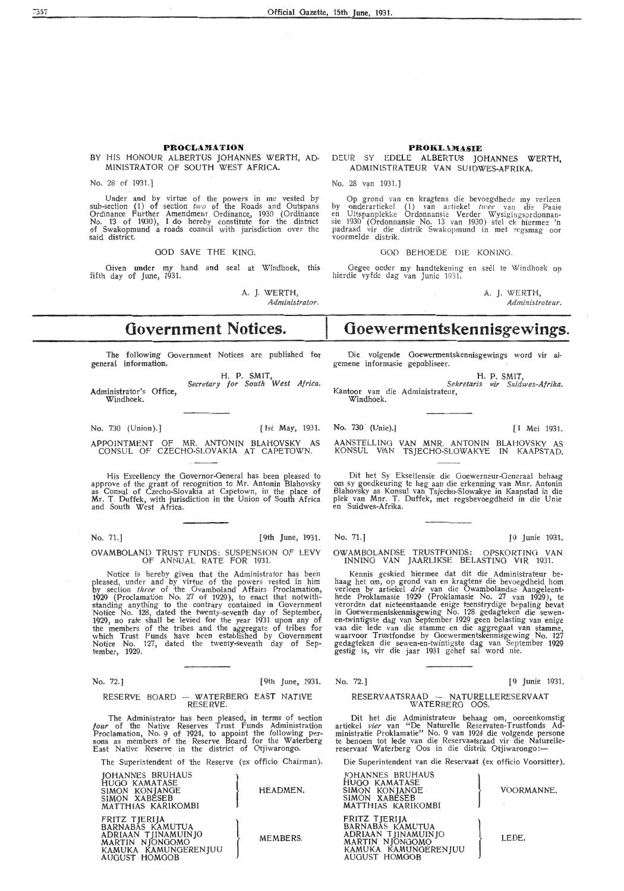#### **PROCLAMATION**

#### BY HIS HONOUR ALBERTUS JOHANNES WERTH, AD-MINISTRATOR OF SOUTH WEST AFRICA.

No. 28 of 1931.]

Under and by virtue of the powers in me vested by sub-section (1) of section *two* of the Roads and Outspans Ordinance Further Amendment Ordinance, 1930 (Ordinance No. 13 of 1930), I do hereby constitute for the district of Swakopmund a roads council with jurisdiction over the said district.

GOD SAVE THE KING.

Given under my hand and seal at Windhoek, this fifth day of June, 1931.

A. J. WERTH,

*Administrator.* 

## **Government Notices.**

The following Government Notices are published for general information.

H. P. SMIT, *Secretary for South West Africa.*  Administrator's Office, Windhoek.

No. 730 (Union). ] [1st May, 1931.

APPOINTMENT OF MR. ANTONIN BLAHOVSKY AS CONSUL OF CZECHO-SLOVAKIA AT CAPETOWN.

His Excellency the Governor-General has been pleased to approve of the grant of recognition to Mr. Antonin Blahovsky as Consul of Czecho-Slovakia at Capetown, in the place of Mr. T. Duffek, with jurisdiction in the Union of South Africa and South West Africa.

No. 71.] [9th June, 1931.

#### OVAMBOLAND TRUST FUNDS: SUSPENSION OF LEVY OF ANNUAL RATE FOR 1931.

Notice is hereby given that the Administrator has been pleased, under and by virtue of the powers vested in him by section three of the Ovamboland Affairs Proclamation, 1929 (Proclamation No. 27 of 1929), *to* enact that notwithstanding anything to the contrary contained in Government Notice No. 128, dated the twenty-seventh day of September, 1929, no rate shall be levied for the year 1931 upon any of the members of the tribes and the aggregate of tribes for<br>which Trust Funds have been established by Government Notice No. 127, dated the twenty-seventh day of Sep-Notice No.<br>tember, 1929.

No. 72.J [9th June, 1931.

#### RESERVE BOARD -- WATERBERG EAST NATIVE RESERVE.

The Administrator has been pleased, in terms of section *four* of the Native Reserves Trust Funds Administration Proclamation, No. 9 of 1924, to appoint the following per- sons as members of the Reserve Board for the Waterberg East Native Reserve in the district of Otjiwarongo.

The Superintendent of the Reserve (ex officio Chairman).

JOHANNES BRUHAUS<br>HUGO KAMATASE<br>SIMON KONJANGE<br>SIMON XABESEB<br>MATTHIAS KARIKOMBI SIMON KONJANGE  $\left\{\text{HEADMEN.}\right\}$ SIMON XABESEB MATTHIAS KARIKOMBI FRITZ TJERIJA<br>BARNABAS KAMUTUA<br>ADRIAAN TJINAMUINJO<br>MARTIN NJONGOMO<br>KAMUKA KAMUNGERENJUU<br>AUGUST HOMGOB ADRIAAN TJINAMUINJO MEMBERS. MARTIN NJONGOMO

KAMUKA KAMUNGERENJUU

AUGUST HOMGOB

#### PROKLAMASIE DEUR SY EDELE ALBERTUS JOHANNES WERTH,

ADMIN!STRATEUR VAN SUIDWES-AFRIKA.

No. 28 van 1931.]

Op grond van en kragtens die bevoegdhede my verleen<br>by onderartiekel (1) van artiekel *twee* van die Paaie<br>en Uitspanplekke Ordonnansie Verder Wysigingsordonnan-<br>sie 1930 (Ordonnansie No. 13 van 1930) stel ek hiermee 'n padraad vir die distrik Swakopmund in met regsmag oor<br>voormelde distrik.

GOD BEHOEDE DIE KONING.

Gegee onder my handtekening en seël te Windhoek op hierdie vyfde dag van Junie 1931

> A. J. WERTH, *Aclministrateur.*

## **Ooewermentskennisgewings.**

Die volgende Goewermentskennisgewings word vir algemene informasie gepubliseer.

H. P. SMIT,<br>Sekretaris vir Suidwes-Afrika. Kantoor van die Administrateur, Windhoek.

**No.** 730 (Unie).] [1 Mei 1931.

AANSTELLING VAN MNR. ANTONIN BLAHOVSKY AS KONSUL VIAN TSJECHO-SLOWAKYE IN KAAPSTAD.

Dit het Sy Eksellensie die Goewerneur-Generaal behaag om sy goedkeuring te heg aan die erkenning van Mnr. Antonin Blahovsky as Konsul van Tsjecho-Slowakye in Kaapstad in die plek van Mnr. T. Duffek, met regsbevoegdheid in die Unie<br>en Suidwes-Afrika.

No. 71.) [9 Junie 1931.

#### OWAMBOLANDSE TRUSTFONDS: OPSKORTINO VAN INNING VAN JAARLIKSE BELASTING VIR 1931.

Kennis geskied hierme,e dat dit die Administrateur be-haag het om, op grond van en kragtens die bevoegdheid horn verleen by artiekel *drie* van die Owambolandse Aangeleenthede Proklamasie 1929 (Proklamasie No. 27 van 1929), te verorden dat nieteenstaande enige kenstrydige bepaling bevat in Goewermentskennisgewing No. 128 gedagteken die sewen-<br>en-twintigste dag van September 1929 geen belasting van enige van die lede van die stamme en die aggregaat van stamme, waarvoor Trustfondse by Goewermentskennisgewing No. 127 gedagteken die sewen-en-twintigste dag van September 1929 gestig is, vir die jaar 1931 gehef sal word nie.

No. 72.J [9 Junie 1931.

#### RESERVAATSRAAD - NATURELLERESERVAAT W ATERBERO OOS.

Dit het die Administrateur behaag om, ooreenkomstig artiekel *vier* van "De Naturelle Reservaten-Trustfonds Administratie Proklamatie" No. 9 van 1924 die volgende persone te benoem tot lede van die Reservaatsraad vir die Naturelle-<br>reservaat Waterberg Oos in die distrik Otjiwarongo:—

Die Superintendent van die Reservaat (ex officio Voorsitter).

| JOHANNES BRUHAUS<br>HUGO KAMATASE<br>SIMON KONJANGE<br>SIMON XABÉSEB<br>MATTHIAS KARIKOMBI                                  | VOORMANNE. |
|-----------------------------------------------------------------------------------------------------------------------------|------------|
| FRITZ TJERIJA<br>BARNABÁS KAMUTUA<br>ADRIAAN TJINAMUINJO<br>MARTIN NJONGOMO<br>KAMUKA KAMUNGERENJUU<br><b>AUGUST HOMGOB</b> | LEDE.      |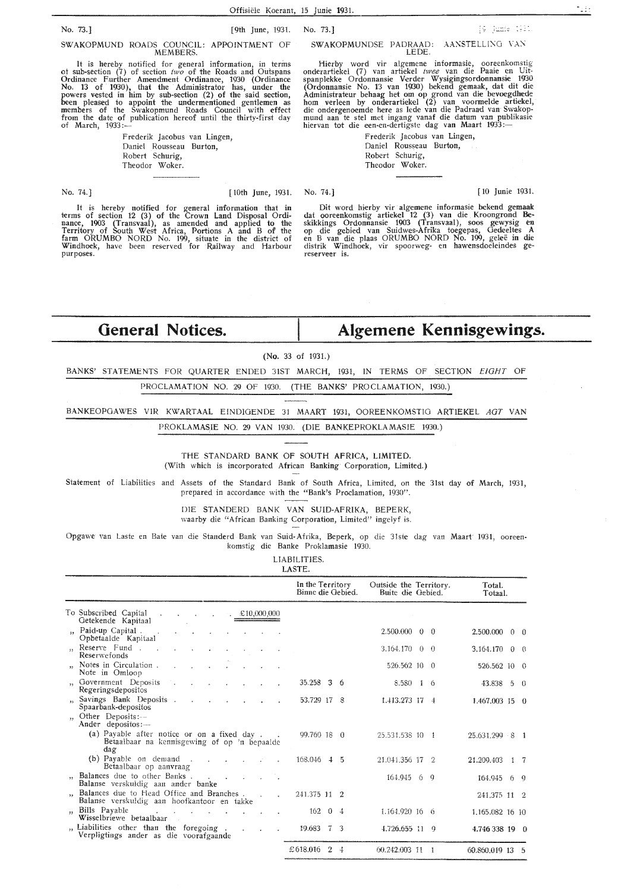#### SWAKOPMUNDSE PADRAAD: AANSTELLING VAN LEDE.

Hierby word vir algemene informasie, ooreenkomstig onderartiekel (7) van artiekel *twee* van die Paaie en Uitspanplekke Ordonnansie Verder Wysigingsordonnansie 1930 (Ordonnansie No. 13 van 1930) bekend gemaak, dat d1t die Administrateur behaag het om op grond van die bevoegdhede hom verleen by onderartiekel (2) van voormelde artiekel, die ondergenoemde here as lede van die Padraad van Swakopmund aan te stel met ingang vanaf die datum van publikasie<br>hiervan tot die een-en-dertigste dag van Maart 1933:—

Frederik Jacobus van Lingen, Daniel Rousseau Burton, Robert Schurig,

Theodor Woker.

No. 74.) [10 Junie 1931.

[9] Junie (1921)

Dit word hierby vir algemene informasie bekend gemaak dat ooreenkomstig artiekel 12 (3) van die Kroongrond Be-<br>skikkings Ordonnansie 1903 (Transvaal), soos gewysig en op die gebied van Suidwes-Afrika toegepas, Gedeeltes **A**  en B van die plaas ORUMB0 NORD No. 199, gelee in die distrik Windhoek, vir spoorweg- en hawensdoeleindes ge reserveer is.

**Algemene Kennisgewings.** 

## **General Notices.**

#### **(No.** 33 of 1931.)

BANKS' STATEMENTS FOR QUARTER ENDED 31ST MARCH, 1931, IN TERMS OF SECTION EIGHT OF

PROCLAMATION NO. 29 OF 1930. (THE BANKS' PROCLAMATION, 1930.)

BANKEOPGAWES VIR KWARTAAL EINDIGENDE 31 MAART 1931, OOREENKOMSTIG ARTIEKEL AGT VAN

PR0KLAMASIE NO. 29 VAN 1930. (DIE BANKEPROKLAMASIE 1930.)

THE STANDARD BANK OF SOUTH AFRICA, LIMITED.

(With which is incorporated African Banking Corporation, Limited.)

Statement of Liabilities and Assets of the Standard Bank of South Africa, Limited, on the 31st day of March, 1931., prepared in accordance with the "Bank's Proclamation, 1930".

> DIE STANDERD BANK VAN SUID-AFRIKA, BEPERK, waarby die "African Banking Corporation, Limited" ingelyf is.

Opgawe van Laste en Bate van die Standerd Bank van Suid-Afrika, Beperk, op die 31ste dag van Maart 1931, ooreenkomstig die Banke Proklamasie 1930.

> LIABILITIES. LASTE.

|                                                                                                                                           | In the Territory<br>Binne die Gebied. | Outside the Territory.<br>Buite die Gebied. | Total.<br>Totaal.           |
|-------------------------------------------------------------------------------------------------------------------------------------------|---------------------------------------|---------------------------------------------|-----------------------------|
| To Subscribed Capital<br>$\text{\pounds}10,000,000$<br>$\sim$<br>Getekende Kapitaal                                                       |                                       |                                             |                             |
| ", Paid-up Capital.<br>All Controllers<br>Opbetaalde Kapitaal                                                                             |                                       | $2.500.000 \quad 0 \quad 0$                 | $2,500,000 \quad 0 \quad 0$ |
| Reserve Fund<br>$\mathbf{z}$ . The same $\mathbf{z}$<br>Reserwefonds                                                                      |                                       | $3.164.170 \quad 0 \quad 0$                 | $3.164.170 \quad 0 \quad 0$ |
| " Notes in Circulation.<br>Note in Omloop                                                                                                 |                                       | 526.562 10 0                                | 526.562 10 0                |
| Government Deposits<br>Regeringsdepositos                                                                                                 | 35.258 3 6                            | $8.580 \quad 1 \quad 6$                     | 43.838 5 0                  |
| Savings Bank Deposits.<br>Spaarbank-depositos                                                                                             | 53.729 17 8                           | 1.413.273 17 4                              | 1.467.003 15 0              |
| "Other Deposits:--<br>Ander depositos:-                                                                                                   |                                       |                                             |                             |
| (a) Payable after notice or on a fixed day.<br>Betaalbaar na kennisgewing of op 'n bepaalde<br>dag                                        | 99.760 18 0                           | 25.531.538 10 1                             | 25.631.299 8 1              |
| (b) Payable on demand.<br>and and<br>Betaalbaar op aanvraag                                                                               | 168.046 4 5                           | 21.041.356 17 2                             | 21.209.403 1 7              |
| Balances due to other Banks<br>Balanse verskuldig aan ander banke                                                                         |                                       | $164.945$ 6 9                               | 164.945 6 9                 |
| " Balances due to Head Office and Branches.<br>$\sim 10$<br>$\mathbf{r}$<br>Balanse verskuldig aan hoofkantoor en takke                   | 241.375 11 2                          |                                             | 241.375 11 2                |
| " Bills Payable<br>and the state of the state of the<br>Wisselbriewe betaalbaar                                                           | $162 \quad 04$                        | 1.164.920 16 6                              | 1,165,082 16 10             |
| " Liabilities other than the foregoing<br>$\Delta \sim 10^{-11}$<br>$\mathcal{L}^{\mathcal{L}}$<br>Verpligtings ander as die voorafgaande | $19.683 \quad 7 \quad 3$              | $4.726.655$ 11 9                            | 4.746 338 19 0              |
|                                                                                                                                           | £618.016<br>$\mathbf{2}$<br>4         | 60.242.003 11 1                             | 60.860.019 13 5             |

from the date of publication hereof until the thirty-first day<br>of March, 1933:— Frederik Jacobus van Lingen, Daniel Rousseau Burton, Robert Schurig, Theodor Woker.

It is hereby notified for general information that in terms of section 12 (3) of the Crown Land Disposal Ordinance, 1903 (Transvaal), as amended and applied to the Territory of South West Africa, Portions A and B of the farm ORUMB0 NORD No. 199, situate in the district of Windhoek, have been reserved for Railway and Harbour

been pleased to appoint the undermentioned gentlemen as members of the Swakopmund Roads Council with effect

SWAKOPMUND ROADS COUNCIL: APPOINTMENT OF MEMBERS.

No. 73.] [9th June, 1931. No. 73.]

purposes.

No. 74.] [10th June, 1931.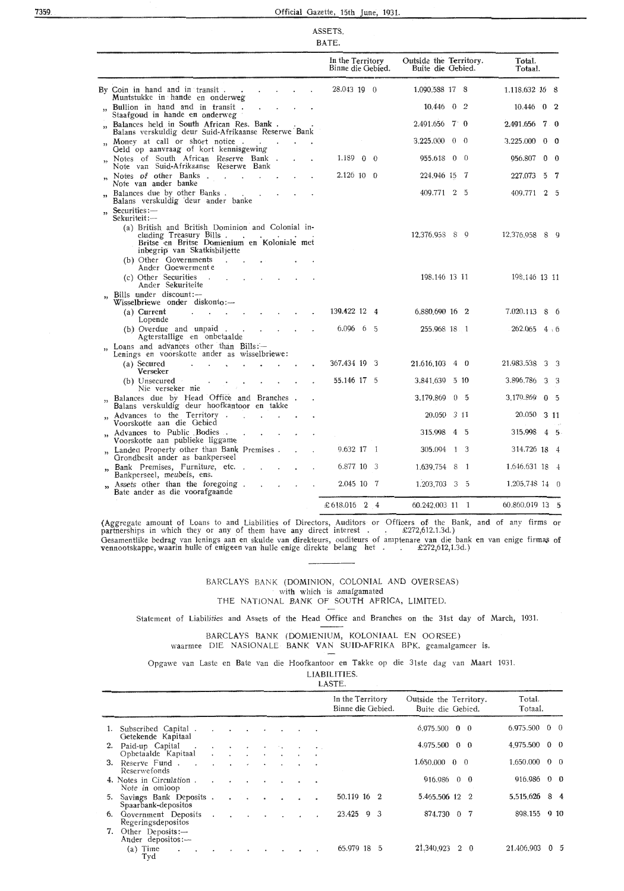#### 735.9. Official Gazette, 15th June, 1931.

|                          |                                                                                                                                                             | ASSETS.<br>BATE.                      |                                             |                |                           |   |                 |
|--------------------------|-------------------------------------------------------------------------------------------------------------------------------------------------------------|---------------------------------------|---------------------------------------------|----------------|---------------------------|---|-----------------|
|                          |                                                                                                                                                             | In the Territory<br>Binne die Gebied. | Outside the Territory.<br>Buite die Gebied. |                | Total.<br>Totaal.         |   |                 |
|                          | By Coin in hand and in transit.<br>Muntstukke in hande en onderweg                                                                                          | 28.043 19 0                           | 1.090.588 17 8                              |                | 1.118.632 16 8            |   |                 |
|                          | Bullion in hand and in transit.<br>$\ddot{\phantom{0}}$<br>Staafgoud in hande en onderweg                                                                   |                                       | $10,446$ 0 2                                |                | $10.446 \quad 0 \quad 2$  |   |                 |
|                          | " Balances held in South African Res. Bank.<br>Balans verskuldig deur Suid-Afrikaanse Reserwe Bank                                                          |                                       | $2.491.656$ 7 0                             |                | 2.491.656                 |   | $7\degree$ 0    |
|                          | " Money at call or short notice.<br>Geld op aanvraag of kort kennisgewing                                                                                   |                                       | $3.225.000 \quad 0 \quad 0$                 |                | 3.225.000                 |   | $0 \quad 0$     |
|                          | Notes of South African Reserve Bank.<br>Note van Suid-Afrikaanse Reserwe Bank                                                                               | 1.189<br>$0 \quad 0$                  | 955.618                                     | $0\quad 0$     | 956.807                   |   | $0\quad 0$      |
| $\overline{\phantom{a}}$ | Notes of other Banks.                                                                                                                                       | $2.126$ 10 0                          | 224.946 15 7                                |                | 227.073                   | 5 | -7              |
| , 2, 3                   | Note van ander banke<br>Balances due by other Banks.<br>Balans verskuldig deur ander banke                                                                  |                                       | 409.771 2 5                                 |                | 409.771                   |   | $2\overline{5}$ |
|                          | " Securities:-<br>Sekuriteit:-                                                                                                                              |                                       |                                             |                |                           |   |                 |
|                          | (a) British and British Dominion and Colonial in-<br>cluding Treasury Bills.<br>Britse en Britse Domienium en Koloniale met<br>inbegrip van Skatkisbiljette |                                       | 12.376.958 8 9                              |                | 12,376.958 8 9            |   |                 |
|                          | (b) Other Governments<br>Ander Goewermente                                                                                                                  |                                       |                                             |                |                           |   |                 |
|                          | (c) Other Securities<br>$\sim 10^{-10}$<br>$\ddot{\phantom{0}}$<br>Ander Sekuriteite                                                                        |                                       | 198,146 13 11                               |                | 198.146 13 11             |   |                 |
| "                        | Bills under discount:-<br>Wisselbriewe onder diskonto:—                                                                                                     |                                       |                                             |                |                           |   |                 |
|                          | (a) Current<br>Lopende                                                                                                                                      | 139.422 12                            | 6.880,690 16 2<br>-4                        |                | 7.020.113 8 6             |   |                 |
|                          | (b) Overdue and unpaid.<br>Agterstallige en onbetaalde                                                                                                      | $6.096 \quad 6 \quad 5$               | 255.968 18 1                                |                | $262.065 \quad 4 \cdot 6$ |   |                 |
| ,                        | Loans and advances other than $Bills$ :-<br>Lenings en voorskotte ander as wisselbriewe:                                                                    |                                       |                                             |                |                           |   |                 |
|                          | (a) Secured<br>Verseker                                                                                                                                     | 367.434 19 3                          | 21.616.103 4 0                              |                | 21.983.538 3 3            |   |                 |
|                          | (b) Unsecured<br>Nie verseker nie                                                                                                                           | 55.146 17 5                           | 3.841,639                                   | $5 \; 10$      | 3.896.786                 |   | 3 <sup>3</sup>  |
|                          | Balances due by Head Office and Branches.<br>Balans verskuldig deur hoofkantoor en takke                                                                    |                                       | 3.179.869                                   | 0 <sub>5</sub> | 3.179.869                 |   | 0 <sub>5</sub>  |
|                          | Advances to the Territory.<br>Voorskotte aan die Gebied                                                                                                     |                                       | 20.050 3 11                                 |                | 20.050 3 11               |   |                 |
| $\mathbf{v}$             | Advances to Public Bodies.<br>Voorskotte aan publieke liggame                                                                                               |                                       | 315.998                                     | 4 5            | 315.998 4 5               |   |                 |
| $\mathbf{z}$             | Landed Property other than Bank Premises.<br>Grondbesit ander as bankperseel                                                                                | 9.632 17 1                            | 305.094 1 3                                 |                | 314.726 18 4              |   |                 |
| ,,                       | Bank Premises, Furniture, etc<br>Bankperseel, meubels, ens.                                                                                                 | 6.877 10 3                            | 1.639.754 8                                 | -1             | 1.646.631 18 4            |   |                 |
|                          | Assets other than the foregoing.<br>Bate ander as die voorafgaande                                                                                          | 2.045 10 7                            | 1.203,703 3                                 | $\overline{5}$ | 1,205,748 14 0            |   |                 |
|                          |                                                                                                                                                             | £618.016 2 4                          | 60.242,003 11 1                             |                | 60.860.019 13 5           |   |                 |

(Aggregate amount of Loans to and Liabilities of Directors, Auditors or Officers of the Bank, and of any firms or partnerships in which they or any of them have any direct interest .  $\therefore$  £272,612.1.3d.) Oesamentlike bedrag van 1enings aan· en skulde van direkteurs, ouditeurs of amptenare van die bank en van enige firmas of vennootskappe, waarin hulle of enigeen van hulle enige direkte belang het . . £272,612, 1.3d.)

> BARCLAYS BANK (DOMINION, COLONIAL AND OVERSEAS) with which is amalgamated THE NATIONAL BANK OF SOUTH AFRICA, LIMITED.

Statement of Liabilities and Assets of the Head Office and Branches on the 31st day of March, 1931.

BARCLAYS BANK (DOMIENIUM, KOLONIAAL EN OORSEE) waarmee DIE NASIONALE BANK VAN SUID-AFRIKA BPK. geamalgameer is.

Opgawe van Laste en Bate van die Hoofkantoor en Takke op die 31ste dag van Maart 1931.

LIABILITIES.

| LASTE.                                           |                                            |                               |                      |  |                 |  |                      |                                       |                                             |                                  |
|--------------------------------------------------|--------------------------------------------|-------------------------------|----------------------|--|-----------------|--|----------------------|---------------------------------------|---------------------------------------------|----------------------------------|
|                                                  |                                            |                               |                      |  |                 |  |                      | In the Territory<br>Binne die Gebied. | Outside the Territory.<br>Buite die Gebied. | Total.<br>Totaal.                |
| 1. Subscribed Capital<br>Getekende Kapitaal      |                                            |                               |                      |  |                 |  |                      |                                       | $6.975.500 \quad 0 \quad 0$                 | $6.975.500 \quad 0 \quad 0$      |
| 2. Paid-up Capital<br>Opbetaalde Kapitaal        | $\mathbf{v} = \mathbf{v} \cdot \mathbf{v}$ |                               | $\sim$ $\sim$ $\sim$ |  | $\cdot$ $\cdot$ |  | <b>Service</b> State |                                       | $4.975.500 \quad 0 \quad 0$                 | 4,975.500<br>$0\quad 0$          |
| 3. Reserve Fund.<br>$\cdot$<br>Reserwefonds      |                                            | and the state of the state of |                      |  |                 |  |                      |                                       | $1.650.000 \quad 0 \quad 0$                 | 1.650.000<br>$0 \quad 0$         |
| 4. Notes in Circulation.<br>Note in omloop       |                                            | $\sim$ $\sim$ $\sim$ $\sim$   |                      |  | $\sim$ $\sim$   |  |                      |                                       | $916.986 \quad 0 \quad 0$                   | 916.986<br>$0\quad 0$            |
| 5. Savings Bank Deposits.<br>Spaarbank-depositos |                                            | $\sim$ $\sim$                 |                      |  |                 |  |                      | 50.119 16 2                           | 5.465.506 12 2                              | 5.515.626<br>84                  |
| 6. Government Deposits<br>Regeringsdepositos     | $\bullet$                                  |                               |                      |  |                 |  |                      | 23.425 9 3                            | 874.730 0 7                                 | 898.155 9 10                     |
| 7. Other Deposits:-<br>Ander depositos:-         |                                            |                               |                      |  |                 |  |                      |                                       |                                             |                                  |
| $(a)$ Time<br>$\ddot{\phantom{0}}$<br>Tvd        |                                            |                               |                      |  |                 |  |                      | 65.979 18<br>5                        | 21,340,923 2 0                              | 21.406.903<br>$\mathbf{0}$<br>-5 |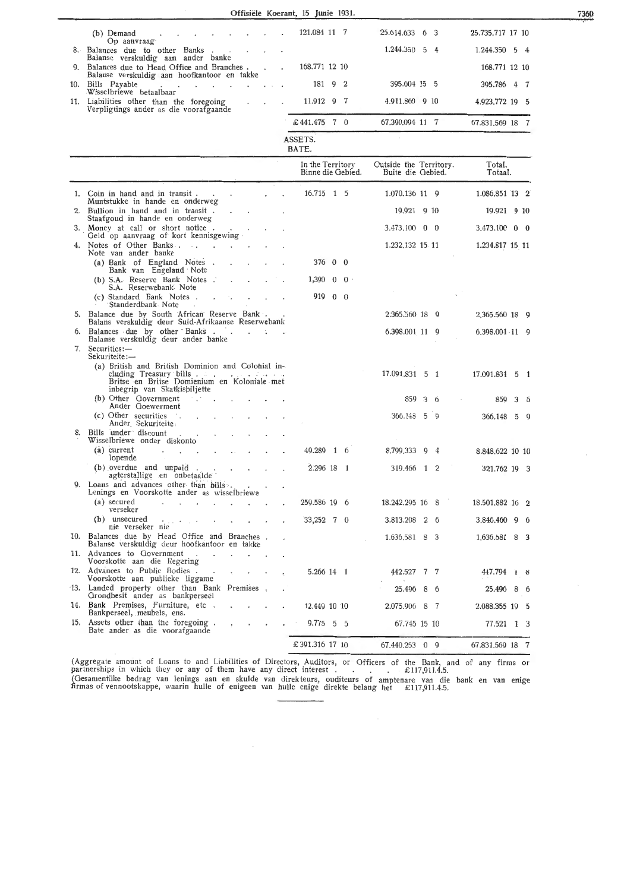|    | Offisiële Koerant, 15 Junie 1931.                                                                                                                          |                |                                          |  |                                             |   |     |                             |   |   |
|----|------------------------------------------------------------------------------------------------------------------------------------------------------------|----------------|------------------------------------------|--|---------------------------------------------|---|-----|-----------------------------|---|---|
|    | (b) Demand                                                                                                                                                 |                | 121.084 11 7                             |  | 25.614.633 6 3                              |   |     | 25.735.717 17 10            |   |   |
|    | Op aanvraag<br>8. Balances due to other Banks.                                                                                                             |                |                                          |  | 1.244.350 5 4                               |   |     | $1.244.350 \quad 5 \quad 4$ |   |   |
|    | Balanse verskuldig aan ander banke<br>9. Balances due to Head Office and Branches.<br>$\ddot{\phantom{a}}$                                                 | $\blacksquare$ | 168,771 12 10                            |  |                                             |   |     | 168.771 12 10               |   |   |
|    | Balanse verskuldig aan hoofkantoor en takke<br>10. Bills Payable<br>the company of the company of the company of the company of the company of             |                | 181 9 2                                  |  | 395.604 15 5                                |   |     | 395.786 4 7                 |   |   |
|    | Wisselbriewe betaalbaar<br>11. Liabilities other than the foregoing<br>Verpligtings ander as die voorafgaande                                              |                | 11.912 9 7                               |  | 4.911.860 9 10                              |   |     | 4.923.772 19 5              |   |   |
|    |                                                                                                                                                            |                | $\text{\pounds} 441.475 \quad 7 \quad 0$ |  | 67.390.094 11 7                             |   |     | 67.831.569 18 7             |   |   |
|    |                                                                                                                                                            |                | ASSETS.<br>BATE.                         |  |                                             |   |     |                             |   |   |
|    |                                                                                                                                                            |                | In the Territory<br>Binne die Gebied.    |  | Outside the Territory.<br>Buite die Gebied. |   |     | Total.<br>Totaal.           |   |   |
|    | 1. Coin in hand and in transit.<br>$\sim$                                                                                                                  |                | 16.715 1 5                               |  | 1.070.136 11 9                              |   |     | 1.086.851 13 2              |   |   |
| 2. | Muntstukke in hande en onderweg<br>Bullion in hand and in transit.<br>$\mathbf{L}$                                                                         |                |                                          |  | 19.921 9 10                                 |   |     | 19.921 9 10                 |   |   |
|    | Staafgoud in hande en onderweg<br>3. Money at call or short notice.                                                                                        |                |                                          |  | $3.473.100 \quad 0 \quad 0$                 |   |     | 3,473.100 0 0               |   |   |
|    | Geld op aanvraag of kort kennisgewing<br>Notes of Other Banks<br>Note van ander banke                                                                      |                |                                          |  | 1.232,132 15 11                             |   |     | 1.234.817 15 11             |   |   |
|    | (a) Bank of England Notes.<br>$\mathcal{L}_{\mathcal{A}}$<br>Bank van Engeland Note                                                                        |                | 376 0 0                                  |  |                                             |   |     |                             |   |   |
|    | (b) S.A. Reserve Bank Notes .<br>$\ddot{\phantom{a}}$<br>S.A. Reserwebank Note                                                                             |                | $1,390 \quad 0 \quad 0$                  |  |                                             |   |     |                             |   |   |
|    | (c) Standard Bank Notes.<br>$\mathbf{r} = \mathbf{r}$<br>Standerdbank Note                                                                                 |                | 919 0 0                                  |  |                                             |   |     |                             |   |   |
|    | 5. Balance due by South African Reserve Bank .<br>Balans verskuldig deur Suid-Afrikaanse Reserwebank                                                       |                |                                          |  | 2.365.560 18 9                              |   |     | 2,365.560 18 9              |   |   |
|    | Balances due by other Banks<br>Balanse verskuldig deur ander banke                                                                                         |                |                                          |  | 6.398.001 11 9                              |   |     | 6,398.001 - 11 - 9          |   |   |
| 7. | Securities:-<br>Sekuriteite:—                                                                                                                              |                |                                          |  |                                             |   |     |                             |   |   |
|    | (a) British and British Dominion and Colonial in-<br>cluding Treasury bills<br>Britse en Britse Domienium en Koloniale met<br>inbegrip van Skatkisbiljette |                |                                          |  | 17.091.831 5 1                              |   |     | 17.091.831 5 1              |   |   |
|    | (b) Other Government<br>Ander Goewerment                                                                                                                   |                |                                          |  | 859                                         |   | 3 6 | 859 3 5                     |   |   |
|    | (c) Other securities<br>Ander Sekuriteite                                                                                                                  |                |                                          |  | 366.148 5 9                                 |   |     | 366,148 5 9                 |   |   |
| 8. | Bills under discount<br>Wisselbriewe onder diskonto                                                                                                        |                |                                          |  |                                             |   |     |                             |   |   |
|    | $(a)$ current<br>$\epsilon$<br>lopende                                                                                                                     |                | 49.289 1 6                               |  | 8.799.333 9 4                               |   |     | 8.848,622 10 10             |   |   |
|    | $(b)$ overdue and unpaid.<br>agterstallige en onbetaalde                                                                                                   |                | 2.296 18 1                               |  | 319.466 1 2                                 |   |     | 321.762 19 3                |   |   |
|    | 9. Loans and advances other than bills.<br>Lenings en Voorskotte ander as wisselbriewe                                                                     |                |                                          |  |                                             |   |     |                             |   |   |
|    | (a) secured<br>verseker                                                                                                                                    |                | 259.586 19 6                             |  | 18.242.295 16 8                             |   |     | 18.501.882 16 2             |   |   |
|    | (b) unsecured<br>and the control of<br>nie verseker nie                                                                                                    |                | $33,252$ 7 0                             |  | 3.813.208 2 6                               |   |     | 3,846,460 9 6               |   |   |
|    | 10. Balances due by Head Office and Branches.<br>Balanse verskuldig deur hoofkantoor en takke                                                              |                |                                          |  | 1.636,581 8 3                               |   |     | 1,636.581 8 3               |   |   |
|    | 11. Advances to Government<br>$\sim$ $\sim$<br>2.73333333333<br>Voorskotte aan die Regering                                                                |                |                                          |  |                                             |   |     |                             |   |   |
|    | 12. Advances to Public Bodies.<br>$\sigma_{\rm{max}}$<br>Voorskotte aan publieke liggame                                                                   |                | 5.266 14 1                               |  | 442.527 7 7                                 |   |     | 447.794 1 8                 |   |   |
|    | 13. Landed property other than Bank Premises.<br>Grondbesit ander as bankperseel                                                                           |                |                                          |  | 25.496                                      | 8 | -6  | 25.496                      | 8 | 6 |
|    | 14. Bank Premises, Furniture, etc.<br>$\sim$<br>Bankperseel, meubels, ens.                                                                                 |                | 12.449 10 10                             |  | 2.075.906 8 7                               |   |     | 2.088.355 19 5              |   |   |
|    | 15. Assets other than the foregoing.<br>Bate ander as die voorafgaande                                                                                     |                | $9.775 \quad 5 \quad 5$                  |  | 67.745 15 10                                |   |     | 77.521 1 3                  |   |   |
|    |                                                                                                                                                            |                | £391.316 17 10                           |  | 67.440.253 0 9                              |   |     | 67.831.569 18 7             |   |   |

(Aggregate amount of Loans to and Liabilities of Directors, Auditors, or Officers of the Bank, and of any firms or<br>partnerships in which they or any of them have any direct interest . . . . . . £117,911.4.5. (Gesamentlike bedrag van lenings aan en skulde van direkteurs, ouditeurs of amptenare van die bank en van enige firmas of vennootskappe, waarin hulle of enigeen van hulle enige direkte belang het  $£117,911.4.5$ .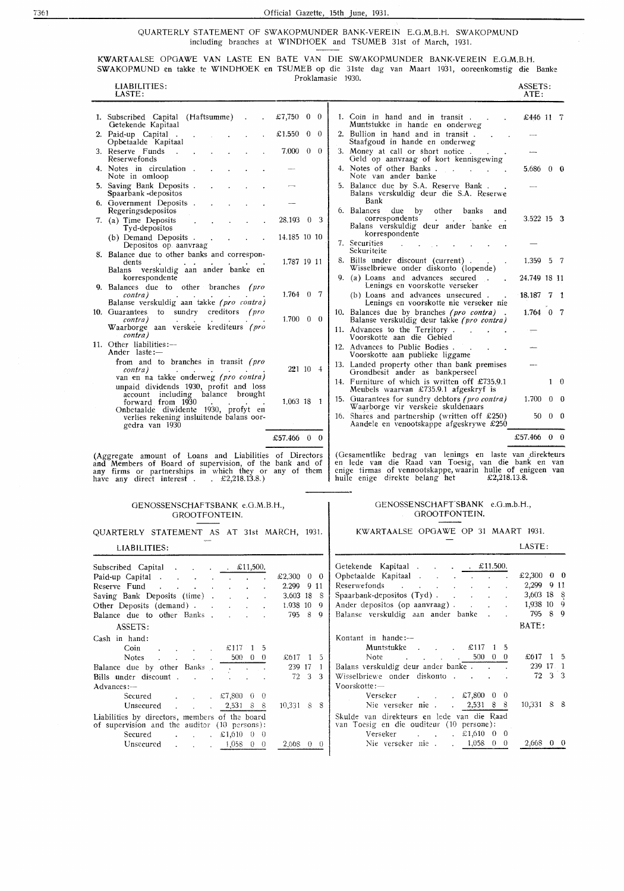QUARTERLY STATEMENT OF SWAKOPMUNDER BANK-VEREIN E.O.M.B.H. SWAKOPMUND including branches at WINDHOEK and TSUMEB 31st of March, 1931.

KWARTAALSE OPOAWE VAN LASTE EN BATE VAN DIE SWAKOPMUNDER BANK-VEREIN E.O.M.B.H. SWAKOPMUND en takke te WINDHOEK en TSUMEB op die 31ste dag van Maart 1931, ooreenkomstig die Banke

| Proklamasie 1930.<br>LIABILITIES:                                                                                                                                                                                               |                                                                                                                                                                                                                                                                                                                                                                                                                                                                                                                         |                                                               |     |                                                                                                                                                                                                                                                                                                                           |                                                                          | ASSETS:    |  |
|---------------------------------------------------------------------------------------------------------------------------------------------------------------------------------------------------------------------------------|-------------------------------------------------------------------------------------------------------------------------------------------------------------------------------------------------------------------------------------------------------------------------------------------------------------------------------------------------------------------------------------------------------------------------------------------------------------------------------------------------------------------------|---------------------------------------------------------------|-----|---------------------------------------------------------------------------------------------------------------------------------------------------------------------------------------------------------------------------------------------------------------------------------------------------------------------------|--------------------------------------------------------------------------|------------|--|
| LASTE:                                                                                                                                                                                                                          |                                                                                                                                                                                                                                                                                                                                                                                                                                                                                                                         |                                                               |     |                                                                                                                                                                                                                                                                                                                           | ATE:                                                                     |            |  |
| 1. Subscribed Capital (Haftsumme)<br>Getekende Kapitaal                                                                                                                                                                         | $\sim$ .                                                                                                                                                                                                                                                                                                                                                                                                                                                                                                                | £7,750 0 0                                                    |     | 1. Coin in hand and in transit.<br>Muntstukke in hande en onderweg                                                                                                                                                                                                                                                        | £446 11 7                                                                |            |  |
| 2. Paid-up Capital<br>Opbetaalde Kapitaal                                                                                                                                                                                       |                                                                                                                                                                                                                                                                                                                                                                                                                                                                                                                         | £1.550<br>$0\quad 0$                                          |     | 2. Bullion in hand and in transit.<br>Staafgoud in hande en onderweg                                                                                                                                                                                                                                                      |                                                                          |            |  |
| 3. Reserve Funds<br>$\sim$<br>Reserwefonds                                                                                                                                                                                      |                                                                                                                                                                                                                                                                                                                                                                                                                                                                                                                         | 7.000<br>$0\quad 0$                                           |     | 3. Money at call or short notice.<br>Geld op aanvraag of kort kennisgewing                                                                                                                                                                                                                                                |                                                                          |            |  |
| 4. Notes in circulation.<br>Note in omloop                                                                                                                                                                                      |                                                                                                                                                                                                                                                                                                                                                                                                                                                                                                                         |                                                               |     | 4. Notes of other Banks.<br>and the contract of<br>Note van ander banke                                                                                                                                                                                                                                                   | 5.686 0 0                                                                |            |  |
| 5. Saving Bank Deposits.<br>Spaarbank - depositos                                                                                                                                                                               |                                                                                                                                                                                                                                                                                                                                                                                                                                                                                                                         |                                                               |     | 5. Balance due by S.A. Reserve Bank.<br>Balans verskuldig deur die S.A. Reserwe                                                                                                                                                                                                                                           |                                                                          |            |  |
| 6. Government Deposits.<br>Regeringsdepositos                                                                                                                                                                                   |                                                                                                                                                                                                                                                                                                                                                                                                                                                                                                                         |                                                               |     | Bank<br>6. Balances due by other banks and                                                                                                                                                                                                                                                                                |                                                                          |            |  |
| 7. (a) Time Deposits<br>Tyd-depositos                                                                                                                                                                                           |                                                                                                                                                                                                                                                                                                                                                                                                                                                                                                                         | 28.193 0 3                                                    |     | correspondents<br>Balans verskuldig deur ander banke en                                                                                                                                                                                                                                                                   | $3.522$ 15 $3$                                                           |            |  |
| (b) Demand Deposits.<br>Depositos op aanvraag                                                                                                                                                                                   |                                                                                                                                                                                                                                                                                                                                                                                                                                                                                                                         | 14.185 10 10                                                  |     | korrespondente<br>7. Securities<br>$\mathbf{r}$                                                                                                                                                                                                                                                                           |                                                                          |            |  |
| 8. Balance due to other banks and correspon-<br>dents                                                                                                                                                                           |                                                                                                                                                                                                                                                                                                                                                                                                                                                                                                                         | 1.787 19 11                                                   |     | Sekuriteite<br>8. Bills under discount (current).                                                                                                                                                                                                                                                                         | $1.359 \quad 5 \quad 7$                                                  |            |  |
| Balans verskuldig aan ander banke en<br>korrespondente                                                                                                                                                                          |                                                                                                                                                                                                                                                                                                                                                                                                                                                                                                                         |                                                               |     | Wisselbriewe onder diskonto (lopende)<br>9. (a) Loans and advances secured.                                                                                                                                                                                                                                               | 24.749 18 11                                                             |            |  |
| 9. Balances due to other branches (pro<br>contra)                                                                                                                                                                               |                                                                                                                                                                                                                                                                                                                                                                                                                                                                                                                         | $1.764 \quad 0 \quad 7$                                       |     | Lenings en voorskotte verseker<br>(b) Loans and advances unsecured.                                                                                                                                                                                                                                                       | 18.187 7 1                                                               |            |  |
| Balanse verskuldig aan takke (pro contra)<br>10. Guarantees to sundry creditors (pro                                                                                                                                            |                                                                                                                                                                                                                                                                                                                                                                                                                                                                                                                         |                                                               |     | Lenings en voorskotte nie verseker nie<br>10. Balances due by branches (pro contra).                                                                                                                                                                                                                                      | $1.764$ 0 7                                                              |            |  |
| contra)<br>Waarborge aan verskeie krediteurs (pro                                                                                                                                                                               |                                                                                                                                                                                                                                                                                                                                                                                                                                                                                                                         | $1.700 \quad 0 \quad 0$                                       |     | Balanse verskuldig deur takke (pro contra)<br>11. Advances to the Territory.                                                                                                                                                                                                                                              |                                                                          |            |  |
| contra)<br>11. Other liabilities:-                                                                                                                                                                                              |                                                                                                                                                                                                                                                                                                                                                                                                                                                                                                                         |                                                               |     | Voorskotte aan die Gebied<br>12. Advances to Public Bodies.                                                                                                                                                                                                                                                               |                                                                          |            |  |
| Ander laste:-<br>from and to branches in transit (pro                                                                                                                                                                           |                                                                                                                                                                                                                                                                                                                                                                                                                                                                                                                         |                                                               |     | Voorskotte aan publieke liggame<br>13. Landed property other than bank premises                                                                                                                                                                                                                                           |                                                                          |            |  |
| contra)<br>van en na takke onderweg (pro contra)                                                                                                                                                                                |                                                                                                                                                                                                                                                                                                                                                                                                                                                                                                                         | 221 10 4                                                      |     | Grondbesit ander as bankperseel<br>14. Furniture of which is written off £735.9.1                                                                                                                                                                                                                                         |                                                                          | $1\quad 0$ |  |
| unpaid dividends 1930, profit and loss<br>account including balance brought                                                                                                                                                     |                                                                                                                                                                                                                                                                                                                                                                                                                                                                                                                         |                                                               |     | Meubels waarvan £735.9.1 afgeskryf is<br>15. Guarantees for sundry debtors (pro contra)                                                                                                                                                                                                                                   | 1.700                                                                    | $0\quad 0$ |  |
| forward from 1930<br>Onbetaalde diwidente 1930, profyt en                                                                                                                                                                       |                                                                                                                                                                                                                                                                                                                                                                                                                                                                                                                         | 1.063 18 1                                                    |     | Waarborge vir verskeie skuldenaars<br>16. Shares and partnership (written off $£250$ )                                                                                                                                                                                                                                    | 50.                                                                      | $0\quad 0$ |  |
| verlies rekening insluitende balans oor-<br>gedra van 1930                                                                                                                                                                      |                                                                                                                                                                                                                                                                                                                                                                                                                                                                                                                         |                                                               |     | Aandele en venootskappe afgeskrywe £250                                                                                                                                                                                                                                                                                   |                                                                          |            |  |
|                                                                                                                                                                                                                                 |                                                                                                                                                                                                                                                                                                                                                                                                                                                                                                                         | £57.466 0 0                                                   |     |                                                                                                                                                                                                                                                                                                                           | £57.466 $0$ 0                                                            |            |  |
| (Aggregate amount of Loans and Liabilities of Directors<br>and Members of Board of supervision, of the bank and of<br>any firms or partnerships in which they or any of them<br>have any direct interest $\pounds 2,218,13.8$ . |                                                                                                                                                                                                                                                                                                                                                                                                                                                                                                                         |                                                               |     | (Gesamentlike bedrag van lenings en laste van direkteurs<br>en lede van die Raad van Toesig, van die bank en van<br>enige firmas of vennootskappe, waarin hulle of enigeen van<br>hulle enige direkte belang het $\pounds 2,218.13.8$ .                                                                                   |                                                                          |            |  |
| GENOSSENSCHAFTSBANK e.G.M.B.H.,                                                                                                                                                                                                 | GROOTFONTEIN.                                                                                                                                                                                                                                                                                                                                                                                                                                                                                                           |                                                               |     | GENOSSENSCHAFT'SBANK e.G.m.b.H.,<br>GROOTFONTEIN.                                                                                                                                                                                                                                                                         |                                                                          |            |  |
| QUARTERLY STATEMENT AS AT 31st MARCH, 1931.                                                                                                                                                                                     |                                                                                                                                                                                                                                                                                                                                                                                                                                                                                                                         |                                                               |     | KWARTAALSE OPGAWE OP 31 MAART 1931.                                                                                                                                                                                                                                                                                       |                                                                          |            |  |
| LIABILITIES:                                                                                                                                                                                                                    |                                                                                                                                                                                                                                                                                                                                                                                                                                                                                                                         |                                                               |     |                                                                                                                                                                                                                                                                                                                           | LASTE:                                                                   |            |  |
| Subscribed Capital £11,500.<br>Paid-up Capital<br>Reserve Fund<br>Saving Bank Deposits (time)<br>Other Deposits (demand)<br>Balance due to other Banks.<br>ASSETS:                                                              | the contract of the contract of the contract of<br>$\sim$<br>$\sim$                                                                                                                                                                                                                                                                                                                                                                                                                                                     | £2.300 0 0<br>2.299 9 11<br>3.603 18 8<br>1.938 10<br>795 8 9 | - 9 | Getekende Kapitaal £11.500.<br>$\mathcal{A}^{\mathcal{A}}$ and $\mathcal{A}^{\mathcal{A}}$ are the set of the set of the set of $\mathcal{A}$<br>Reserwefonds<br>Spaarbank-depositos (Tyd)<br>Ander depositos (op aanvraag)<br>Balanse verskuldig aan ander banke.                                                        | £2,300 0 0<br>2,299 9 11<br>3,603 18 8<br>1,938 10 9<br>795 8 9<br>BATE: |            |  |
| Cash in hand:<br>Coin<br><b>Notes</b><br>$\mathbf{r}^{\left(1\right)}$ , where $\mathbf{r}^{\left(2\right)}$ , where $\mathbf{r}^{\left(2\right)}$<br>Balance due by other Banks<br>Bills under discount                        | $\therefore$ $\therefore$ $\therefore$ $\therefore$ $\therefore$ $\therefore$ $\therefore$ $\therefore$ $\therefore$ $\therefore$ $\therefore$ $\therefore$ $\therefore$ $\therefore$ $\therefore$ $\therefore$ $\therefore$ $\therefore$ $\therefore$ $\therefore$ $\therefore$ $\therefore$ $\therefore$ $\therefore$ $\therefore$ $\therefore$ $\therefore$ $\therefore$ $\therefore$ $\therefore$ $\therefore$ $\therefore$ $\therefore$ $\therefore$ $\therefore$ $\therefore$ $\therefore$<br>$500\quad 0\quad 0$ | £617 1 5<br>239 17 1<br>72 3 3                                |     | Kontant in hande:-<br>Muntstukke<br>$\therefore$ $\therefore$ $\therefore$ $\therefore$ $\therefore$ 1 5<br>$\mathcal{L}(\mathcal{L}^{\mathcal{L}})$ , where $\mathcal{L}^{\mathcal{L}}$ and $\mathcal{L}^{\mathcal{L}}$<br>$500 \t 0 \t 0$<br>Note<br>Balans verskuldig deur ander banke.<br>Wisselbriewe onder diskonto | £617 1 5<br>239 17 1                                                     | 72 3 3     |  |

| Notes<br>OUU.<br>- U U<br>the control of the control of the                                    | 无017 【 3         |  |     |  |  |  |  |  |
|------------------------------------------------------------------------------------------------|------------------|--|-----|--|--|--|--|--|
| Balance due by other Banks                                                                     | 239 17           |  |     |  |  |  |  |  |
| Bills under discount                                                                           | 72 3 3           |  |     |  |  |  |  |  |
| Advances:-                                                                                     |                  |  |     |  |  |  |  |  |
| Secured $\epsilon$ . $\epsilon$ 7,800 0 0                                                      |                  |  |     |  |  |  |  |  |
| Unsecured 2,531 8 8                                                                            | $10.331 \quad$ S |  | - 8 |  |  |  |  |  |
| Liabilities by directors, members of the board<br>of supervision and the auditor (10 persons): |                  |  |     |  |  |  |  |  |
| Secured<br>$\mathfrak{L}1,610$<br>$\begin{array}{cc} 0 & 0 \end{array}$                        |                  |  |     |  |  |  |  |  |
| Unsecured $\ldots$ $1,058$ 0<br>- 0                                                            | 2.668            |  |     |  |  |  |  |  |

| Getekende Kapitaal £11.500.                                                                                                                                                                                                    |              |                 |
|--------------------------------------------------------------------------------------------------------------------------------------------------------------------------------------------------------------------------------|--------------|-----------------|
| Opbetaalde Kapitaal                                                                                                                                                                                                            | £2,300 $\,0$ | - 0             |
| Reserve fonds and the contract of the contract of the contract of the contract of the contract of the contract of the contract of the contract of the contract of the contract of the contract of the contract of the contract | 2,299        | 9<br>11         |
| Spaarbank-depositos (Tyd).                                                                                                                                                                                                     | 3,603 18     | $\overline{8}$  |
| Ander depositos (op aanvraag).                                                                                                                                                                                                 | 1,938 10     | Q               |
| Balanse verskuldig aan ander banke.                                                                                                                                                                                            | 795 8        | 0               |
|                                                                                                                                                                                                                                | BATE:        |                 |
| Kontant in hande:-                                                                                                                                                                                                             |              |                 |
|                                                                                                                                                                                                                                |              |                 |
| $500 \t 0 \t 0$<br>Note                                                                                                                                                                                                        |              | $£617 \quad 15$ |
| Balans verskuldig deur ander banke                                                                                                                                                                                             |              | 239 17 1        |
| Wisselbriewe onder diskonto                                                                                                                                                                                                    |              | 72 3 3          |
| $V$ oorskotte: $-$                                                                                                                                                                                                             |              |                 |
| $\Box$ 0<br>Verseker $\pounds 7,800$ 0                                                                                                                                                                                         |              |                 |
| Nie verseker nie 2,531 8 8                                                                                                                                                                                                     | 10.331       | 8<br>- 8        |
| Skulde van direkteurs en lede van die Raad<br>van Toesig en die ouditeur (10 persone):                                                                                                                                         |              |                 |
| Verseker $\text{\pounds}1,610$ 0 0                                                                                                                                                                                             |              |                 |
| Nie verseker nie . 1,058<br>$\bf{0}$<br>0                                                                                                                                                                                      | 2,668        | 0               |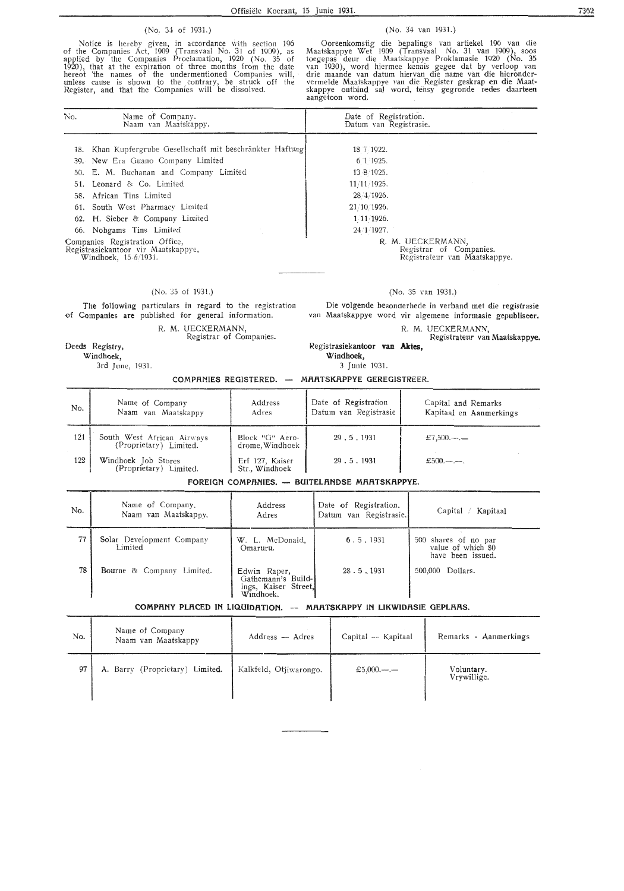#### (No. 34 of 1931.)

Notice is hereby given, in accordance with section 196 of the Companies Act, 1909 (Transvaal No. 31 of 1909), as applied by the Companies Proclamation, 1920 (No. 35 of 1920), that at the expiration of three months from the date hereot the names of the undermentioned Companies will, unless cause is shown to the contrary, be struck off the Register, and that the Companies will be dissolved.

#### (No. 34 van 1931.)

Ooreenkomstig die bepalings van artiekel 196 van die Maatskappye Wet 1909 (Transvaal No. 31 van 1909), soos toegepas deur die Maatskappye Proklamasie 1920 (No. 35 van 1930), word hiermee kennis gegee dat by verloop van drie maande van datum hiervan die name van die hieronder vermelde Maatskappye van die Register geskrap en die Maatskappye ontbind sal word, tensy gegronde redes daarteen aangetoon word.

| No. | Name of Company.<br>Naam van Maatskappy.                                                      | Date of Registration.<br>Datum van Registrasie.                               |
|-----|-----------------------------------------------------------------------------------------------|-------------------------------------------------------------------------------|
| 18. | Khan Kupfergrube Gesellschaft mit beschränkter Haftung                                        | 18 7 1922.                                                                    |
|     | 39. New Era Guano Company Limited                                                             | 6 1 1925.                                                                     |
|     | 50. E. M. Buchanan and Company Limited                                                        | 13 8 1925.                                                                    |
| 51. | Leonard & Co. Limited                                                                         | 11/11/1925.                                                                   |
|     | 58. African Tins Limited                                                                      | 28 4/1926.                                                                    |
|     | 61. South West Pharmacy Limited                                                               | 21/10/1926.                                                                   |
|     | 62. H. Sieber & Company Limited                                                               | $1 \cdot 11 \cdot 1926$ .                                                     |
|     | 66. Nobgams Tins Limited                                                                      | 24 1 1927.                                                                    |
|     | Companies Registration Office,<br>Registrasiekantoor vir Maatskappye,<br>Windhoek, 15 6/1931. | R. M. UECKERMANN,<br>Registrar of Companies.<br>Registrateur van Maatskappye. |

#### (No. 35 of 1931.)

The following particulars in regard to the registration of Companies are published for general information.

> R. M. UECKERMANN, Registrar of Companies.

#### Deeds Registry,

Windhoek,

3rd June, 1931.

(No. 35 van 1931.)

Die volgende besonaerhede in verband met die registrasie van Maatskappye word vir algemene informasie gepubliseer.

#### R. M. UECKERMANN,

#### Registrasiekantoor van **Aides, Windhoek,**  Registrateur van Maatskappye.

3 Junie 1931.

| COMPANIES REGISTERED. | MAATSKAPPYE GEREGISTREER. |
|-----------------------|---------------------------|
|-----------------------|---------------------------|

| No. | Name of Company<br>Naam van Maatskappy               | Address<br>Adres                   | Date of Registration<br>Datum van Registrasie | Capital and Remarks<br>Kapitaal en Aanmerkings |
|-----|------------------------------------------------------|------------------------------------|-----------------------------------------------|------------------------------------------------|
| 121 | South West African Airways<br>(Proprietary) Limited. | Block "G" Aero-<br>drome, Windhoek | 29.5.1931                                     | £7,500.—.—                                     |
| 122 | Windhoek Job Stores<br>(Proprietary) Limited.        | Erf 127, Kaiser<br>Str., Windhoek  | 29.5.1931                                     | £500.—.—.                                      |

FOREIGN COMPANIES. - **BUITELANDSE MAATSKAPPYE.** 

| No. | Name of Company.<br>Naam van Maatskappy. | Address<br>Adres                                                        | Date of Registration.<br>Datum van Registrasie. | $Capital \neq$<br>Kapitaal                                     |  |  |  |  |  |
|-----|------------------------------------------|-------------------------------------------------------------------------|-------------------------------------------------|----------------------------------------------------------------|--|--|--|--|--|
| 77  | Solar Development Company<br>Limited     | W. L. McDonald,<br>Omaruru.                                             | 6.5.1931                                        | 500 shares of no par<br>value of which 80<br>have been issued. |  |  |  |  |  |
| 78  | Bourne & Company Limited.                | Edwin Raper,<br>Gathemann's Build-<br>ings, Kaiser Street,<br>Windhoek. | 28.5.1931                                       | Dollars.<br>500,000                                            |  |  |  |  |  |
|     | COMBRUY BLECK IN LIQUIDETION             |                                                                         |                                                 |                                                                |  |  |  |  |  |

#### **COMPANY PLACED IN LIQUIDATION. -- MAATSKAPPY IN LIKWIDASIE GEPLAAS.**

| No. | Name of Company<br>Naam van Maatskappy | Address - Adres        | Capital -- Kapitaal | Remarks - Aanmerkings     |  |
|-----|----------------------------------------|------------------------|---------------------|---------------------------|--|
| 97  | A. Barry (Proprietary) Limited.        | Kalkfeld, Otjiwarongo. | £5,000.—.—          | Voluntary.<br>Vrywillige. |  |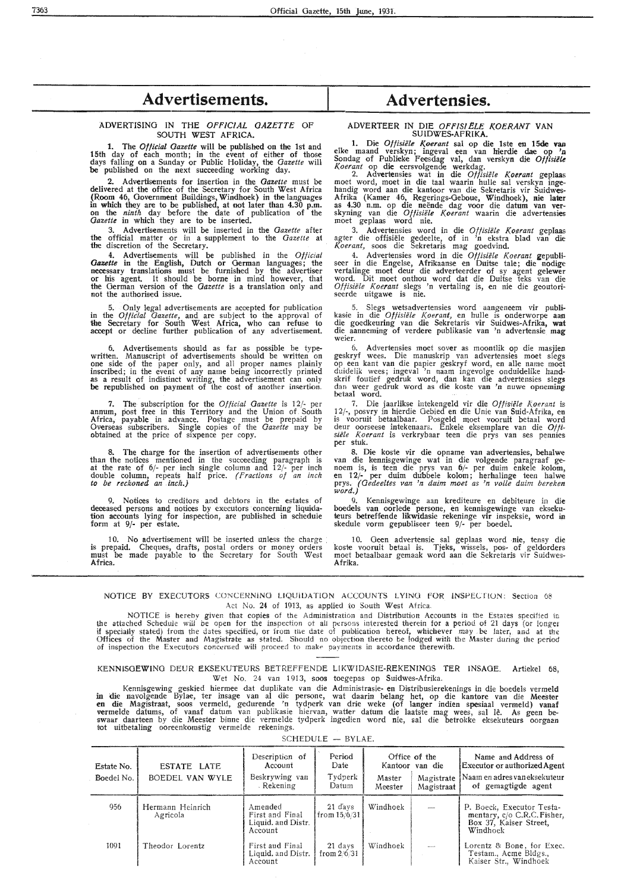### Advertisements. Advertensies.

#### ADVERTISING IN THE OFFICIAL GAZETTE OF **SOUTH WEST AFRICA.**

1. The *Official Gazette* will be published on the 1st and 15th day of each month; in the event of either of those days falling on a Sunday or Public Holiday, the *Gazette* will be published on the next succeeding working day.

2. Advertisements for insertion in the *Gazette* must be delivered at the office of the Secretary for South West Africa (Room 46, Government Buildings, Windhoek) in the languages in which they are to be published, at not later than 4.30 p.m. on the *ninth* day before the date of publication of the *Gazette* in which they are to be inserted.

3. Advertisements will be inserted in the *Gazette* after **the** official matter or in a supplement to the *Gazette* at the discretion of the Secretary.

**4.** Advertisements **will** be published in the *Official Gazette* in the English, Dutch or German languages; the necessary translations must be furnished by the advertiser or his agent. It should be borne in mind however, that the German version of the *Gazette* is a translation only and not the authorised issue.

5. Only Iegal advertisements are accepted for publication in the *Official Gazette,* and are subject to the approval of the Secretary for South West Africa, who can refuse to accept or decline further publication of any advertisement.

6. Advertisements should as far as possible be typewritten. Manuscript of advertisements should be written on **one** side of the paper only, and all proper names plainly inscribed; in the event of any name being incorrectly printed as a result of indistinct writing, the advertisement can only be republished on payment of the cost of another insertion.

7. The subscription for the *Official Gazette* is 12/- per annum, post free in this Territory and the Union of. South Africa, payab1e in advance. Postage must be prepaid by Overseas subscribers. Single copies of the *Gazette* may be obtained at the price of sixpence per copy.

8. The charge for the insertion of advertisements other than the notices mentioned in the succeeding paragraph is at the rate of 6/- per inch single column and 12/- per inch doub1e column, repeats half price. *( Fractions of an inch to be reckoned an inch.)* 

9. Notices to creditors and debtors in the estates of deceased persons and notices by executors concerning liquidation accounts lying for inspection, are published in schedule form at 9/- per estate.

10. No advertisement will be inserted unless the charge : is prepaid. Cheques, drafts, postal orders or money orders must be made payable to the Secretary for South West Africa.

#### ADVERTEER IN DIE OFFISIËLE KOERANT VAN SUIDWES-AFRIKA. SUIDWES-AFRIKA.

1. Die *Offisiële Koerant* sal op die 1ste en 15de van elke maand verskyn; ingeval een van hierdie dae op 'n Sondag of Publieke Feesdag val, dan verskyn die *Offisiele Koerant* op die eersvolgende werkdag.

2. Advertensies wat in die *Offisiële Koerant* geplaas moet word, moet in die taal waarin hulle sal verskyn ingehandig word aan die kantoor van die Sekretaris vir Suidwes-Afrika (Kamer 46, Regerings-Oeboue, Windhoek), nie later as 4.30 n.m. op die neende dag voor die datum van **ver**skyning van die *Offisiële Koerant* waarin die advertensies moet geplaas word nie.

3. Advertensies word in die *OftisiiJle Koerant* geplaas agter die offisiele gedeelte, of in 'n ekstra blad van die *Koerant,* soos die Sekretaris mag goedvind.

4. Advertensies word in die *Offisiële Koerant* gepubliseer in die Engelse, Afrikaanse en Duitse tale; die nodige vertalinge moet deur die adverteerder of sy agent gelewer word. Dit moet onthou word dat die Duitse teks van die *Oftisiele Koerant* slegs 'n vertaling is, en nie die geoutoriseerde uitgawe is nie.

5. Slegs wetsadvertensies word aangeneem vir publi-<br>kasie in die *Offisiële Koerant*, en hulle is onderworpe aan die goedkeuring van die Sekretaris vir Suidwes-Afrika, **wat**  die aanneming of verdere publikasie van 'n advertensie **mag**  weier.

6. Advertensies moet sover as moontlik op die masjien geskryf wees. Die manuskrip van advertensies moet slegs op een kant van die papier geskryf word, en alle name moet duidelik wees; ingeval 'n naam ingevolge onduidelike handskrif foutief gedruk word, dan kan die advertensies slegs dan weer gedruk word as die koste van 'n nuwe opneming betaal word.

7. Die jaarlikse intekengeld vir die Offisiële Koerant is 12/-, posvry in hierdie Gebied en die Unie van Suid-Afrika, en<br>is vooruit betaalbaar. Posgeld moet vooruit betaal word deur oorseese intekenaars. Enkele eksemplare van die *Ofti• siele Koerant* is verkrybaar teen die prys van ses pennies per stuk.<br>8. Die koste vir die opname van advertensies, behalwe

8. Die koste vir die opname van advertensies, behalwe van die kennisgewinge wat in die volgende paragraaf ge- noem is, is teen die prys van  $6/$ - per duim enkele kolom, en  $12/$ - per duim dubbele kolom; herhalinge teen ha prys. *(Gedeeltes van 'n duim moet as 'n volte duim bereken word.)* 

9. Kennisgewinge aan krediteure en debiteure in die boedels van oorlede persone, en kennisgewinge van eksekuteurs betreffende likwidasie rekeninge vir inspeksie, word in skedule vorm gepubliseer teen 9/- per boedel.

10. Geen advertensie sal geplaas word nie, tensy die koste vooruit betaal is. Tjeks, wissels, pos- of geldorders moet betaalbaar gemaak word aan die Sekretaris vir Suidwes-Afrika.

#### NOTICE BY EXECUTORS CONCERNING LIQUIDATION ACCOUNTS LYING FOR INSPECTION: Section 68 Act No. 24 of 1913, as applied to South West Africa,

NOTICE is hereby given that copies of the Administration and Distribution Accounts in the Estates specified in the attached Schedule will be open for the inspection ot all persons interested therein for a period ot 21 days (or long-er if specially stated) from the dates specified, or from the date of publication hereof, whichever may be later, and at the Offices of the Master and Magistrate as stated. Should no objection thereto be !odged with the Master during the period of inspection the Executors concerned will proceed to make payments in accordance therewith.

#### KENNISOEWING DEUR EKSEKUTEURS BETREFFENDE LIKWIDASIE-REKENINGS TER INSAGE. Artiekel 68, Wet No. 24 van 1913, soos toegepas op Suidwes-Afrika,

Kennisgewing geskied hiermee dat duplikate van die Administrasie- en Distribusierekenings in die boedels vermeld in die navolgende Byfae, ter insage van al die persone, wat daarin belang het, op die kantore van die Meester **en die Magistraat, soos vermeld, gedurende 'n tydperk van drie weke (of langer indien spesiaal vermeld) vanaf** vermelde datums, of vanaf datum van publikasie hiervan, watter datum die laatste mag wees, sal lê. As geen be-<br>swaar daarteen by die Meester binne die vermelde tydperk ingedien word nie, sal die betrokke eksekuteurs oorgaa tot uitbetaling ooreenkomstig vermelde rekenings.

SCHEDULE - BYLAE.

| Estate No.<br>Boedel No. | ESTATE LATE<br>BOEDEL VAN WYLE | Description of<br>Account<br>Beskrywing van<br>. Rekening   | Period<br>Date<br>Tydperk<br>Datum | Office of the<br>Kantoor van die<br>Master<br>Magistrate<br>Meester<br>Magistraat |  | Name and Address of<br><b>Executor or authorized Agent</b><br>Naam en adres van eksekuteur<br>of gemagtigde agent |
|--------------------------|--------------------------------|-------------------------------------------------------------|------------------------------------|-----------------------------------------------------------------------------------|--|-------------------------------------------------------------------------------------------------------------------|
| 956                      | Hermann Heinrich<br>Agricola   | Amended<br>First and Final<br>Liquid. and Distr.<br>Account | 21 d'ays<br>l from 15/6/31         | Windhoek                                                                          |  | P. Boeck, Executor Testa-<br>mentary, c/o C.R.C. Fisher,<br>Box 37, Kaiser Street,<br>Windhoek                    |
| 1091                     | Theodor Lorentz                | First aud Final<br>Liquid. and Distr.<br>Account            | 21 days<br>from $2/6/31$           | Windhoek                                                                          |  | Lorentz & Bone, for Exec.<br>Testam., Acme Bldgs.,<br>Kaiser Str., Windhoek                                       |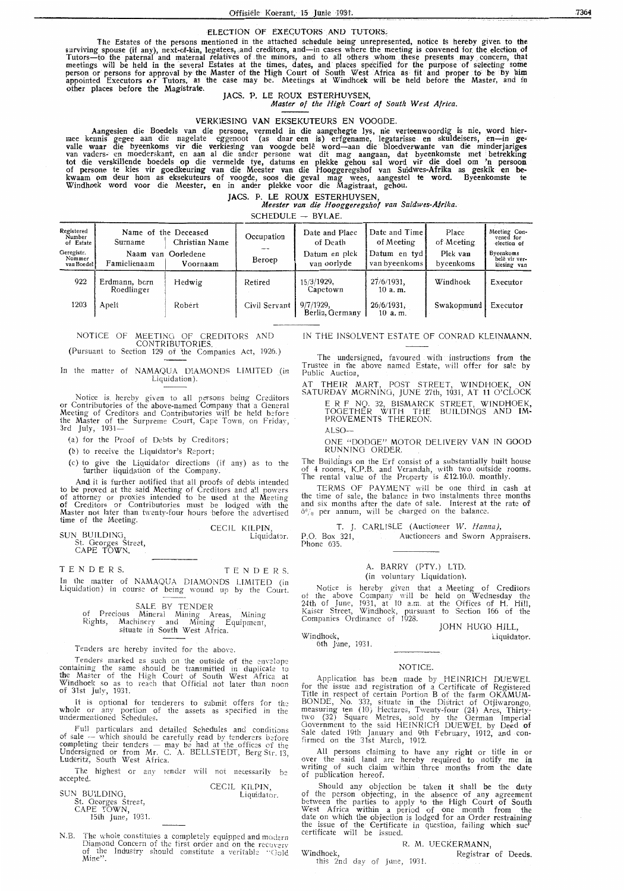#### ELECTION OF EXECUTORS AND TUTORS $_{\rm c}$

The Estates of the persons mentioned in the attached schedule being unrepresented, notice is hereby given to the<br>surviving spouse (if any), next-of-kin, legatees, and creditors, and—in cases where the meeting is convened f Tutors-to the paternal and maternal relatives of the minors, and to all others whom these presents may concern, that meetings will be held in the several Estates at the times, dates, and places specified for the purpose of selecting some person or persons for approval by the Master of the High Court of South West. Africa as fit and proper to be by him appointed Executors or Tutors, as the case may be. Meetings at Windhoek will be held before the Master, and in other places before the Magistrate. JACS. P. LE ROUX ESTERHUYSEN,

*Master of the High Court of South West Africa.* 

#### VERKIESING **VAN** EKSEKUTEURS EN VOOGDE.

Aangesien die Boedels van die persone, vermeld in die aangehegte lys, nie verteenwoordig is nie, word hier-<br>mee kennis gegee aan die nagelate eggenoot (as daar een is) erfgename, legatarisse en skuldeisers, en—in gevalle waar die byeenkoms vir die verkiesing van voogde belê word—aan die bloedverwante van die minderjariges van vaders en moederskant, en aan al die ander persone wat dit mag aangaan, dat byeenkomste met betrekking tot die verskillende boedels op die vermelde tye, datums en plekke gehou sal word vir die doel om 'n persoon of persone te kies vir goedkeuring van die Meester van die Hooggeregshof van Suidwes-Afrika as geskik **en** bekwaam om deur horn as eksekuteurs of voogde, soos die geval mag wees, aangestel te word. Byeenkomste te Windhoek word voor die Meester, en in antler plekke voor die Magistraat, gehou.

**JACS. P. LE ROUX ESTERHUYSEN,**<br>*Meester van die Hooggeregshof van Suidwes-Afrika.* 

| Registered<br>Number<br>of Estate<br>Geregistr.<br>Nommer<br>van Boedel | Name of the Deceased<br>Surname<br>Naam<br>Famielienaam | Christian Name<br>van Oorledene<br>Voornaam | Occupation<br>Beroep | Date and Place<br>of Death<br>Datum en plek<br>van oorlyde | Date and Time<br>of Meeting<br>Datum en tyd<br>van byeenkoms | Place<br>of Meeting<br>Plek van<br>bveenkoms | Meeting Con-<br>vened for<br>election of<br>Byeenkoms<br>belê vir ver-<br>kiesing van |
|-------------------------------------------------------------------------|---------------------------------------------------------|---------------------------------------------|----------------------|------------------------------------------------------------|--------------------------------------------------------------|----------------------------------------------|---------------------------------------------------------------------------------------|
| 922                                                                     | Erdmann, born<br>Roedlinger                             | Hedwig                                      | Retired              | 15/3/1929.<br>Capetown                                     | $27/6/1931$ ,<br>10a.m.                                      | Windhoek                                     | Executor                                                                              |
| 1203                                                                    | Apelt                                                   | Robert                                      | Civil Servant        | $9/7/1929$ ,<br>Berlin, Germany                            | $26/6/1931$ ,<br>$10a$ . m.                                  | Swakopmund                                   | Executor                                                                              |

#### NOTICE OF MEETING OF CREDITORS AND CONTRIBUTORIES. (Pursuant to Section 129 of 'the Companies Act, 1926.)

In the matter of NAMAQUA DIAMONDS LIMITED (in Liquidation ).

Notice is. hereby given to all persons being Creditors or Contributories of the above-named Company that a General Meeting of Creditors and Contributories will be held before the Master of the Surpreme Court, Cape Town, on Friday,<br>3rd July, 1931—

(a) for the Proof of Debts by Creditors;

(b) to receive the Liquidator's Report;

(c) to give the Liquidator directions (if any) as to the further liquidation of the Company.

And it is further notified that all proofs of debts intended to be proved at the said Meeting of Creditors and all powers of attorney or proxies intended to be used at the Meeting of Creditors or Contributories must be lodged with the Master not later than twenty-four hours before the advertised time of the Meeting.

SUN BU!LDINO, St. Georges Street, CAPE TOWN. CECIL KILPIN, Liquidator.

TENDERS.

In the matter of NAMAQUA DIAMONDS LIMITED (in Liquidation) in course of being wound up by the Court.

TEND E RS.

SALE BY TENDER of Precious Mineral Mining Areas, Mining Rights, Machinery and Mining Equipment, situate in South West Africa.

Tenders are hereby invited for the above.

Tenders marked as such on the outside of the envelope containing the same should be transmitted in duplicate to **the** Master of the High Court of South West Africa at Windhoek so as to reach that Official not later than noon of 31st July, 1931.

It is optional for tenderers to submit offers for the whole or any portion of the assets as specified in the undermentioned Schedules.

Full particulars and detailed Schedules and conditions of sale -- which should be carefully read by tenderers before completing their tenders - may be had at the offices of the Undersigned or from Mr. C. A. BELLSTEDT, Berg Sir. 13, Luderitz, South West Africa.

The highest or any tender will not necessarily be accepted.

|                     |  | CECIL KILPIN. |
|---------------------|--|---------------|
| SUN BUILDING.       |  | Liquidator.   |
| St. Georges Street, |  |               |
| CAPE TOWN.          |  |               |
| 15th June, 1931.    |  |               |

N.B. The whole constitutes a completely equipped and modern Diamond Concern of the first order and on the recovery of the Industry should constitute a veritable " Oold Mine". IN THE INSOLVENT ESTATE OF CONRAD **KLEINMANN.** 

The undersigned, favoured with instructions from the Trustee in the above named Estate, will offer for sale by Public Auction,

AT THEIR MART, POST STREET, WINDHOEK, ON SATURDAY MORNING, JUNE 27th, 1931, AT 11 O'CLOCK

E R F NQ. 32, BISMARCK STREET, W INDHOEK, TOGETHER WITH THE BUILDINGS AND IM-PROVEMENTS THE REON'.

 $ATSO-$ 

ONE "DODGE" MOTOR DELIVERY VAN IN GOOD RUNNING ORDER.

The Buildings on the Erf consist of a substantially built house of 4 rooms, K.P.B. and Verandah, with two outside rooms. The rental value of the Property is £12.10.0. monthly.

TERMS OF PAYMENT will be one third in cash at the time of sale, the balance in two instalments three months and six months after the date of sale. Interest at the rate of  $6\%$  per annum, will be charged on the balance.

T. J. CARLISLE (Auctioneer W. *Hanna)*, P.O. Box 321, Auctioneers and Sworn App Auctioneers and Sworn Appraisers. Phone 635.

#### A. BARRY (PTY.) LTD. (in voluntary Liquidation).

Notice is hereby given that a Meeting of Creditors of the above Company will be held on Wednesday the 24th of June,  $1931$ , at 10 a.m. at the Offices of H. Hill, Kaiser Street, Windhoek, pursuant to Section 166 of the Companies Ordinance of 1928.

JOHN HUGO HILL,

Windhoek, 6th June, 193L

Windhoek,

Liquidator.

#### NOTICE.

Application has been made by HEINRICH DUEWEL for the issue and registration of a Certificate of Registered Title in respect of certain Portion B of the farm OKAMUM-BONDE, No. 332, situate in the District of Otjiwarongo, measuring ten (10) Hectares, Twenty-four (24) Ares, Thirtytwo (32) Square Metres, sold by the German Imperiai Government to the said HEINRICH DUEWEL by Deed of Sale dated 19th January and 9th February, 1912, and confirmed on the 31st March, 1912.

All persons claiming to have any right or title in or over the said land are hereby required to notify me in writing of such claim within three months from the date of publication hereof.

Should any objection be taken it shall be the duty of the person objecting, in the absence of any agreement between the parties to apply to the High Court of South West Africa within a period of one month from the date on which the objection is lodged for an Order restraining the issue of the Certificate in question, failing which such certificate will be issued.

## R. M. UECKERMANN,<br>Registrar of Deeds.

idhoek, Registrar of Deeds.<br>this 2nd day of June, 1931.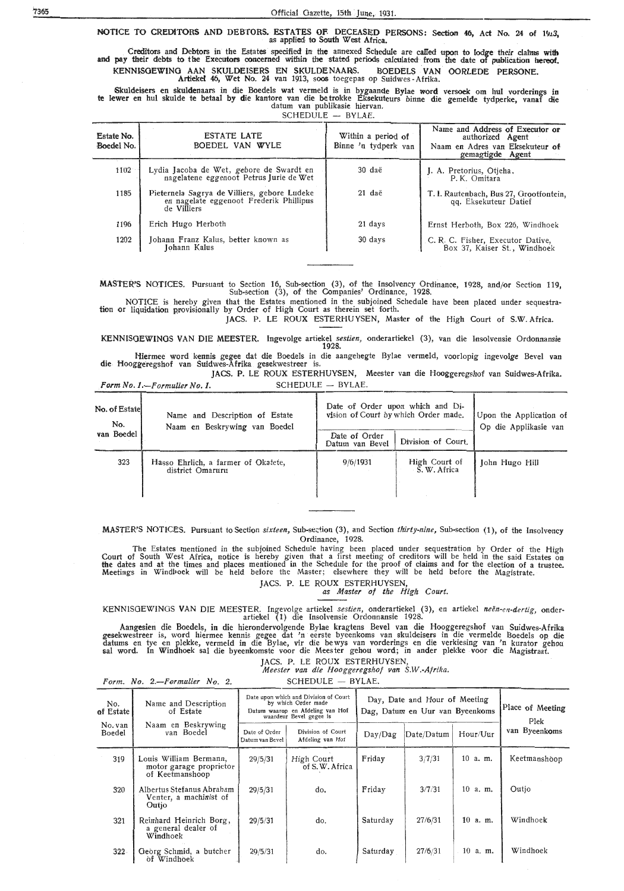## NOTICE TO CREDITORS AND DEBTORS. ESTATES OF. DECEASED PERSONS: Section 46, Act No. 24 of 1913, as applied to South West Africa.

Creditors and Debtors in the Estates specified in the annexed Schedule are called upon to lodge their clamas with the Executors concerned within the stated periods calculated from the date of publication hereof. pay . their debts to the Executors concerned within the stated periods calculated· from the date of publication hereof. KENNISGEWING AAN SKULDEISERS EN SKULDENAARS. BOEDELS VAN OORLEDE PERSONE. Artiekel 46, Wet No. 24 van 1913, soos toegepas op Suidwes ~ Afrika.

Skuldeisers en skuldenaars in die Boedels wat vermeld is in bygaande Bylae word versoek om hul vorderings in te lewer en hul skulde te betaal by die kantore van die betrokke Eksekuteurs binne die gemelde tydperke, vanaf die datum van publikasie hiervan.

 $SCHEDULE - BYLAE.$ 

| Estate No.<br>Boedel No. | <b>ESTATE LATE</b><br>BOEDEL VAN WYLE                                                                  | Within a period of<br>Binne 'n tydperk van | Name and Address of Executor or<br>authorized Agent<br>Naam en Adres van Eksekuteur of<br>gemagtigde Agent |
|--------------------------|--------------------------------------------------------------------------------------------------------|--------------------------------------------|------------------------------------------------------------------------------------------------------------|
| 1102                     | Lydia Jacoba de Wet, gebore de Swardt en<br>nagelatene eggenoot Petrus Jurie de Wet                    | 30 daë                                     | J. A. Pretorius, Otieha,<br>P.K. Omitara                                                                   |
| 1185                     | Pieternela Sagrya de Villiers, gebore Ludeke<br>en nagelate eggenoot Frederik Phillipus<br>de Villiers | 21 daë                                     | T. I. Rautenbach, Bus 27, Grootfontein,<br>qq. Eksekuteur Datief                                           |
| 1196                     | Erich Hugo Herboth                                                                                     | 21 days                                    | Ernst Herboth, Box 226, Windhoek                                                                           |
| 1202                     | Johann Franz Kalus, better known as<br>Johann Kalus                                                    | 30 days                                    | C. R. C. Fisher, Executor Dative,<br>Box 37, Kaiser St., Windhoek                                          |

**MASTER'S NOTICES.** Pursuant to Section 16, Sub-section (3), of the Insolvency Ordinance, 1928, and/or Section 119,<br>Sub-section (3), of the Companies' Ordinance, 1928.

NOTICE is hereby given that the Estates mentioned in the subjoined Schedule have been placed under sequestra-<br>tion or liquidation provisionally by Order of High Court as therein set forth.

JACS. P. LE ROUX ESTERHUYSEN, Master of the High Court of S.W. Africa.

KENNISOEWINOS VAN DIE MEESTER. Ingevolge artiekel *sestien,* onderartiekel (3), van die Insolvensie Ordonnansie **1928.** 

Hiermee word kennis gegee dat die Boedels in die aangehegte Bylae vermeld, voorlopig ingevolge Bevel van die Hooggeregshof van Suidwes-Afrika gesekwestreer is.

JACS. P. LE ROUX ESTERHUYSEN, Meester van die Hooggeregshof van Suidwes-Afrika. *Form No. 1.--Formulier No. 1.* SCHEDULE - BYLAE.

| No. of Estatel<br>No. | Name and Description of Estate<br>Naam en Beskrywing van Boedel | Date of Order upon which and Di-<br>vision of Court by which Order made. | Upon the Application of<br>Op die Applikasie van |                |
|-----------------------|-----------------------------------------------------------------|--------------------------------------------------------------------------|--------------------------------------------------|----------------|
| van Boedel            |                                                                 | Date of Order<br>Datum van Bevel                                         | Division of Court.                               |                |
| 323                   | Hasso Ehrlich, a farmer of Okatete,<br>district Omaruru         | 9/6/1931                                                                 | High Court of<br>S. W. Africa                    | John Hugo Hill |

MASTER'S NOTICES. Pursuant to Section *sixteen*, Sub-section (3), and Section *thirty-nine*, Sub-section (1), of the Insolvency Ordinance, 1928.

The Estates mentioned in the subjoined Schedule having been placed under sequestration by Order of the High Court of South West Africa, notice is hereby given that a first meeting of creditors will be held in the said Estates on<br>the dates and at the times and places mentioned in the Schedule for the proof of claims and for the e Meetings in Windl>oek will be held before the Master; elsewhere they will be held before the Magistrate. JACS. P. LE ROUX ESTERHUYSEN,

*as Master of the High Court.* 

KENNISGEWINGS VAN DIE MEESTER: lngevolge artiekel *sestien,* onderartiekel (3), \_ en artiekel *neen-en-dertig,* onderartiekel (1) die Insolvensie Ordonnansie 1928.

Aangesien die Boedels, in die hierondervolgende Bylae kragtens Bevel van die Hooggeregshof van Suidwes-Afrika gesekwestreer is, word hiermee kennis gegee dat 'n eerste byeenkoms van skuldeisers in die vermelde Boedels op die datums en tye en plekke, vermeld in die Bylae, vir die be wys van vorderings en die verkiesing van 'n kurator gehou sal word. In Windhoek sal die byeenkomste voor die Meester gehou word; in ander plekke voor die Magistraat.

JACS. P. LE ROUX ESTERHUYSEN

*Meester van die Hooggeregshof van S.W.-Afrika.*   $SCHEDULE - BYLAE.$ 

|  | Form. No. 2.-Formulier No. 2 |  |  |
|--|------------------------------|--|--|
|--|------------------------------|--|--|

| No.<br>of Estate  | Name and Description<br>of Estate                                    | Date upon which and Division of Court<br>by which Order made<br>Datum waarop en Afdeling van Hof<br>waardeur Bevel gegee is |                                       | Day, Date and Hour of Meeting<br>Dag, Datum en Uur van Byeenkoms | Place of Meeting<br>Plek |              |               |  |
|-------------------|----------------------------------------------------------------------|-----------------------------------------------------------------------------------------------------------------------------|---------------------------------------|------------------------------------------------------------------|--------------------------|--------------|---------------|--|
| No. van<br>Boedel | Naam en Beskrywing<br>van Boedel                                     | Date of Order<br>Datum van Bevel                                                                                            | Division of Court<br>Afdeling van Hof | Day/Dag                                                          | Date/Datum               | Hour/Uur     | van Byeenkoms |  |
| 319               | Louis William Bermann,<br>motor garage proprietor<br>of Keetmanshoop | 29/5/31                                                                                                                     | High Court<br>of S.W. Africa          | Friday                                                           | 3/7/31                   | $10$ a.m.    | Keetmanshoop  |  |
| 320               | Albertus Stefanus Abraham<br>Venter, a machinist of<br>Outjo         | 29/5/31                                                                                                                     | do.                                   | Friday                                                           | 3/7/31                   | $10$ a.m.    | Outio         |  |
| 321               | Reinhard Heinrich Borg,<br>a general dealer of<br>Windhoek           | 29/5/31                                                                                                                     | do.                                   | Saturday                                                         | 27/6/31                  | 10.<br>a. m. | Windhoek      |  |
| $322 -$           | Georg Schmid, a butcher<br>of Windhoek                               | 29/5/31                                                                                                                     | do.                                   | Saturday                                                         | 27/6/31                  | $10$ a.m.    | Windhoek      |  |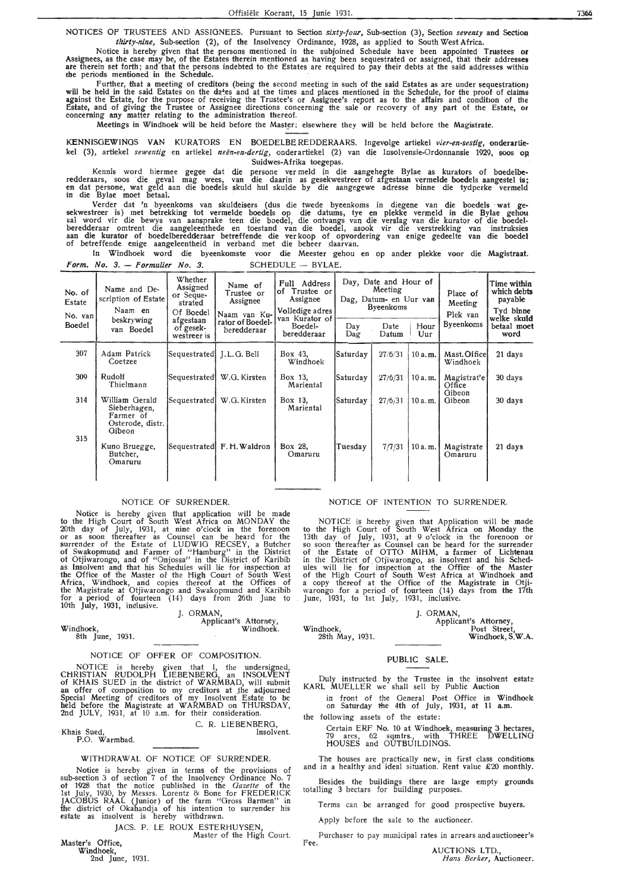NOTICES OF TRUSTEES AND ASSIGNEES. Pursuant to Section *sixty-four*, Sub-section (3), Section *seventy* and Section *tltirty-nine,* Sub-section (2), of the Insolvency Ordinance, 1928, as applied to South West Africa.

Notice is hereby given that the persons mentioned in the subjoined Schedule have been appointed Trustees **or**  Assignees, as the case may be, of the Estates therein mentioned as having been sequestrated or assigned, that their addresses<br>are therein set forth; and that the persons indebted to the Estates are required to pay their de  $\epsilon$  the periods mentioned in the Schedule.

Further, that a meeting of creditors (being the second meeting in such of the said Estates as are under sequestration)<br>will be held in the said Estates on the dates and at the times and places mentioned in the Schedule, fo against the Estate, for the purpose of receiving the Trustee's or Assignee's report as to the affairs and condition of the Estate, and .of giving the Trustee or Assignee directions concerning the sale or recovery of any part of the Estate, or concerning any matter relating to the administration thereof.

Meetings in Windhoek will be held before the Master; elsewhere they will be held before the Magistrate.

KENNISGEWINGS VAN KURATORS EN BOEDELBEREDDERAARS. Ingevolge artiekel vier-en-sestig, onderartiekel (3), artiekel *sewentig* en artiekel *neen-en-dertig,* onderartiekel (2) van die lnsolvensie-Ordonnansie 1929, soos op Suidwes-Afrika toegepas.

Kennis word hiermee gegee dat die persone ver meld in die aangehegte By}ae as kurators of boedelbc• redderaars, soos die geval mag wees, van die daarin as gesekwestreer of afgestaan vermelde boedels aangestel is;<br>en dat persone, wat geld aan die boedels skuld hul skulde by die aangegewe -adresse binne die tydperke vermel in die Bylae moet betaal.

Verder dat 'n byeenkoms van skuldeisers ( dus die twede byeenkoms in die gene van die boedels · wat gesekwestreer is) met betrekking tot vermelde boedels op die datums, tye en plekke vermeld in die Bylae gehou sal word vir die bewys van aansprake teen die boedel, die ontvangs van die verslag van die kurator of die boedelberedderaar omtrent die aangeleenthede en toestand van die boedel, asook vir die verstrekking van instruksies<br>aan die kurator of boedelberedderaar betreffende die ver koop of opvordering van enige gedeelte van die boedel of betreffende enige aangeleentheid in verband met die beheer daarvan.

In Windhoek word die byeenkomste voor die Meester gehou en op ander plekke voor die Magist**raa**t. Form. No.  $3.$  - Formulier No. 3. SCHEDULE - BYLAE.

| No. of<br>Estate<br>No. van<br>Boedel | Name and De-<br>scription of Estate<br>Naam en<br>beskrywing<br>van Boedel | Whether<br>Assigned<br>or Seque-<br>strated<br>Of Boedel<br>afgestaan<br>of gesek-<br>westreer is | Name of<br>Trustee or<br>Assignee<br>Naam van Ku-<br>rator of Boedel-<br>beredderaar | Full Address<br>of Trustee or<br>Assignee<br>Volledige adres<br>van Kurator of<br>Boedel-<br>beredderaar | Day<br>Dag | Day, Date and Hour of<br>Meeting<br>Dag, Datum- en Uur van<br><b>Byeenkoms</b><br>Date<br>Datum | Hour<br>Uur | Place of<br>Meeting<br>Plek van<br><b>Byeenkoms</b> | Time within<br>which debts<br>payable<br>Tyd binne<br>welk <b>e</b> sku <b>ld</b><br>betaal moet<br>word |
|---------------------------------------|----------------------------------------------------------------------------|---------------------------------------------------------------------------------------------------|--------------------------------------------------------------------------------------|----------------------------------------------------------------------------------------------------------|------------|-------------------------------------------------------------------------------------------------|-------------|-----------------------------------------------------|----------------------------------------------------------------------------------------------------------|
| 307                                   | Adam Patrick<br>Coetzee                                                    | Sequestrated [J.L.G. Bell]                                                                        |                                                                                      | Box 43,<br>Windhoek                                                                                      | Saturday   | 27/6/31                                                                                         | 10 a.m.     | Mast. Office<br>Windhoek                            | 21 days                                                                                                  |
| 309                                   | Rudolf<br>Thielmann                                                        | Sequestrated                                                                                      | W.G. Kirsten                                                                         | Box 13,<br>Mariental                                                                                     | Saturday   | 27/6/31                                                                                         | 10a.m.      | Magistrat'e<br>Office                               | 30 days                                                                                                  |
| 314                                   | William Gerald<br>Sieberhagen,<br>Farmer of<br>Osterode, distr.<br>Gibeon  | Sequestrated                                                                                      | W.G. Kirsten                                                                         | Box 13,<br>Mariental                                                                                     | Saturday   | 27/6/31                                                                                         | 10 a.m.     | Gibeon<br>Gibeon                                    | 30 days                                                                                                  |
| 315                                   | Kuno Bruegge,<br>Butcher,<br>Omaruru                                       |                                                                                                   | Sequestrated F.H. Waldron                                                            | Box 28,<br>Omaruru                                                                                       | Tuesday    | 7/7/31                                                                                          | 10a.m.      | Magistrate<br>Omaruru                               | 21 days                                                                                                  |

#### NOTICE OF SURRENDER.

Notice is hereby given that application will be made to the High Court of South West Africa on MONDAY the 20th day of July, 1931, at nine o'clock in the forenoon or as soon thereafter as Counsel can be heard for the surrender of the Estate of LUDWIG RECSEY, a Butcher of Swakopmund and Farmer of "Hamburg" in the District<br>of Otjiwarongo; and of "Onjossa" in the District of Karibib<br>as Insolvent and that his Schedules will lie for inspection at the; Office of the Master of the High Court of South West **Africa,** Windhoek, and copies thereof at the Offices of the Magistrate at Otjiwarongo and Swakopmund and Karibib for a period of fourteen (14) days from 26th June to 10th July, 1931, inclusive.

#### ]. ORMAN,

Applicant's Attorney, Windhoek;

#### NOTICE OF OFFER OF COMPOSITION.

NOTICE is hereby given . that I, the undersigned, CHRISTIAN RUDOLPH LIEBENBERG, an INSOLVENT<br>of KHAIS SUED in the district of WARMBAD, will submit<br>an offer of composition to my creditors at the adjourned Special Meeting of creditors of my Insolvent Estate to be held before the Magistrate at WARMBAD on THURSDAY, 2nd JULY, 1931, at 10 a.m. for their consideration.

C. R. LIEBENBERG,<br>Insolvent. Insolvent. P.O. Warmbad.

Windhoek,

8th June, 1931.

#### WITHDRAWAL OF NOTICE OF SURRENDER.

Notice is hereby given in terms of the provisions of sub-section 3 of section 7 of the Insolvency Ordinance No. 7 ot 1928 that the notice published in the *Gazette* of the 1st July, 1930, by Messrs. Lorentz & Bone for FREDERICK JACOBUS RAAL (Junior) of the farm "Gross Barmen" in the district of Okahandja of his intention to surrender his estate as insolvent is hereby withdrawn.

JACS. P. LE ROUX ESTERHUYSEN, Master of the High Court.

Master's Office,

**Windhoek,** 

2nd June, 1931.

#### NOTICE OF INTENTION TO SURRENDER.

NOTICE is hereby given that Application will be made to the High Court of South West Africa on Monday the 13th day of July, 1931, at 9 o'clock in the forenoon or so soon thereafter as Counsel can be heard for the surrender of • the Estate of OTTO **MIHM,** a farmer of Lichtenau in the District of Otjiwarongo, as insolvent and his Schedules will lie for inspection at the Office of the Master of the High Court of South West Africa at Windhoek and<br>a copy thereof at the Office of the Magistrate in Otji-<br>warongo for a period of fourteen (14) days from the 17th June, 1931, to 1st July, 1931, inclusive.

#### J. ORMAN,

Applicant's Attorney, Post Street, Windhoek, S.W.A.

#### PUBLIC SALE.

Duly instructed by the Trustee in the insolvent estate-KARL MUELLER we shall sell by Public Auction

in front of the General Post Office in Windhoek on Saturday the 4th of July, 1931, at 11 a.m.

the following assets of the estate:

Windhoek,

2Sth May, 1931.

Certain ERF No. 10 at Windhoek, measuring 3 hectares, 79 ares, 62 sqmtrs., with THREE DWELLING HOUSES and OUTBUILDINGS.

The houses are practically new, in first class conditions and in a healthy and ideal situation. Rent value £20 monthly.

Besides the buildings there are large empty grounds totalling 3 hectars for building purposes.

Terms can be arranged for good prospective buyers.

Apply before the sale to the auctioneer.

Purchaser to pay municipal rates in arrears and auctioneer's Fee.

AUCTIONS LTD., *Hans Berker,* Auctioneer.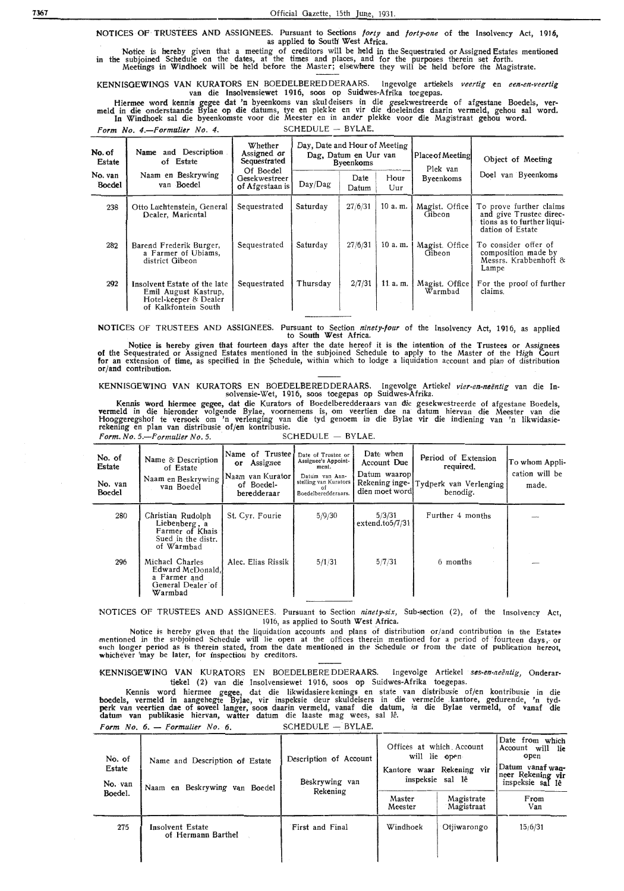NOTICES OF TRUSTEES AND ASSIGNEES. Pursuant to Sections *forty* and *forty-one* of the Insolvency Act, 1916, as applied to South West Africa.

Notice is hereby given that a meeting of creditors will be held in the Sequestrated or Assigned Estates mentioned in the subjoined Schedule on the dates, at the times and places, and for the purposes therein set forth. Meetings in Windhoek will be held before the Master; elsewhere they will be held before the Magistrate.

KENNISGEWINGS VAN KURAT0RS EN B0EDELBEREDDERAARS. lngevolge artiekels *veertig* en *een.-en-veertig*  van die Insolvensiewet 1916, soos op Suidwes-Afrika toegepas.

Hiermee word kennis gegee dat 'n byeenkoms van skul deisers in die gesekwestreerde of afgestane Boedels, ver- meld in die onderstaande Bylae op die datums, tye en plek ke en vir die doeleindes daarin vermeld, gehou sal word. In Windhoek sal die byeenkomste voor die Meester en in antler plekke voor die Magistraat gehou word. *Form No. 4.*-*Formulier No. 4.* SCHEDULE - BYLAE.

| No. of<br>Estate         | and Description<br>Name<br>of Estate                                                                  | Day, Date and Hour of Meeting<br>Whether<br>Assigned or<br>Dag, Datum en Uur van<br>Sequestrated<br><b>Byeenkoms</b> |          |               | Place of Meeting<br>Plek van | Object of Meeting         |                                                                                                      |  |
|--------------------------|-------------------------------------------------------------------------------------------------------|----------------------------------------------------------------------------------------------------------------------|----------|---------------|------------------------------|---------------------------|------------------------------------------------------------------------------------------------------|--|
| No. van<br><b>Boedel</b> | Naam en Beskrywing<br>van Boedel                                                                      | Of Boedel<br>Gesekwestreer<br>of Afgestaan is                                                                        | Day/Dag  | Date<br>Datum | Hour<br>Uur                  | <b>Byeenkoms</b>          | Doel van Byeenkoms                                                                                   |  |
| 238                      | Otto Luchtenstein, General<br>Dealer, Mariental                                                       | Sequestrated                                                                                                         | Saturday | 27/6/31       | 10 a.m.                      | Magist. Office<br>Gibeon  | To prove further claims<br>and give Trustee direc-<br>tions as to further liqui-<br>dation of Estate |  |
| 282                      | Barend Frederik Burger,<br>a Farmer of Ubiams,<br>district Gibeon                                     | Sequestrated                                                                                                         | Saturday | 27/6/31       | 10a.m.                       | Magist. Office<br>Gibeon  | To consider offer of<br>composition made by<br>Messrs. Krabbenhoft &<br>Lampe                        |  |
| 292                      | Insolvent Estate of the late<br>Emil August Kastrup,<br>Hotel-keeper & Dealer<br>of Kalkfontein South | Sequestrated                                                                                                         | Thursday | 2/7/31        | 11. $a. m.$                  | Magist. Office<br>Warmbad | For the proof of further<br>claims.                                                                  |  |

NOTICES Of TRUSTEES AND ASSIGNEES. Pursuant to Section *ninety-four* of the Insolvency Act, 1916, as applied to South West Africa.

Notice is hereby given that fourteen days after the date hereof it is the intention of the Trustees or Assignees of the Sequestrated or Assigned Estates mentioned in the subjoined Schedule to apply to the Master of the High Court for an extension of time, as specified in the Schedule, within which to lodge a liquidation account and plan of distribution or/and contribution.

KENNIS0EWING VAN KURAT0RS EN BOEDELBEREDDERAARS. Ingevolge Artiekel *vier-en-neentig* van die Insolvensie-Wet, 1916, soos toegepas op Suidwes-Afrika.

Kennis word hiermee gegee, dat die Kurators of Boedelberedderaars van die gesekwestreerde of afgestane Boedels, vermeld in die hieronder volgende Bylae, voornemens is, om veertien dae na datum hiervan die Meester van die Hooggeregshof te versoek om 'n verlenging van die tyd genoem in die Bylae vir die indiening van 'n likwidasierekening en plan van distribusie of/en kontribusie. *Form. No. 5.—Formulier No. 5.* SCHEDULE - BYLAE.

| No. of<br>Estate<br>No. van<br><b>Boedel</b> | Name & Description<br>of Estate<br>Naam en Beskrywing<br>van Boedel                       | Name of Trustee<br>Assignee<br>$\mathbf{or}$<br> Naam van Kurator <br>of Boedel-<br>beredderaar | Date of Trustee or<br>Assignee's Appoint-<br>ment.<br>Datum van Aan-<br>stelling van Kurators<br>Boedelberedderaars. | Date when<br>Account Due<br>Datum waarop<br>Rekening inge-<br>dien moet word | Period of Extension<br>required.<br>Tydperk van Verlenging<br>benodig. | To whom Appli-<br>cation will be<br>made. |
|----------------------------------------------|-------------------------------------------------------------------------------------------|-------------------------------------------------------------------------------------------------|----------------------------------------------------------------------------------------------------------------------|------------------------------------------------------------------------------|------------------------------------------------------------------------|-------------------------------------------|
| 280                                          | Christian Rudolph<br>Liebenberg, a<br>Farmer of Khais<br>Sued in the distr.<br>of Warmbad | St. Cyr. Fourie                                                                                 | 5/9/30                                                                                                               | 5/3/31<br>$extend_to5/7/31$                                                  | Further 4 months                                                       |                                           |
| 296                                          | Michael Charles<br>Edward McDonald,<br>a Farmer and<br>General Dealer of<br>Warmbad       | Alec. Elias Rissik                                                                              | 5/1/31                                                                                                               | 5/7/31                                                                       | 6 months                                                               |                                           |

'NOTICES Of TRUSTEES AND ASSIGNEES. Pursuant to Section *ninety-six,* Sub-section (2), of the Insolvency Act, 1916, as applied to South West Africa.

Notice is hereby given that the liquidation accounts and plans of distribution or/and contribution in the Estates<br>mentioned in the subjoined Schedule will lie open at the offices therein mentioned for a period of fourteen whichever 'may be later, for inspection by creditors.

KENNISGEWING VAN KURATORS EN BOEDELBERE DDERAARS. Ingevolge Artiekel ses-en-neëntig, Onderartiekel (2) van die Insolvensiewet 1916, soos op Suidwes-Afrika toegepas.

Kennis word hiermee gegee, dat die likwidasiere kenings en state van distribusie of/en kontribusie in die boedels, vermeld in aangehegte By)ae, vir inspeksie deur skuldeisers in die vermelde .kantore, gedurende, 'n tyd**perk** van veertien dae of soveel Ianger, soos daarin vermeld, vanaf die datum, in die Bylae vermeld, of vanaf die datum van publikasie hiervan, watter datum die laaste mag wees, sal le.

*Form No. 6.* - *Formulier No. 6.* SCHEDULE -- BYLAE.

| No. of<br>Estate<br>No. van<br>Boedel. | Name and Description of Estate<br>Naam en Beskrywing van Boedel | Description of Account<br>Beskrywing van<br>Rekening | Offices at which Account<br>Master | will lie open<br>Kantore waar Rekening vir<br>inspeksie sal lê<br>Magistrate | Date from which<br>Account will lie<br>open<br>Datum vanaf wan-<br>neer Rekening vir<br>inspeksie sal lê<br>From |
|----------------------------------------|-----------------------------------------------------------------|------------------------------------------------------|------------------------------------|------------------------------------------------------------------------------|------------------------------------------------------------------------------------------------------------------|
|                                        |                                                                 |                                                      | Meester                            | Magistraat                                                                   | Van                                                                                                              |
| 275                                    | Insolvent Estate<br>of Hermann Barthel                          | First and Final                                      | Windhoek                           | Otiiwarongo                                                                  | 15/6/31                                                                                                          |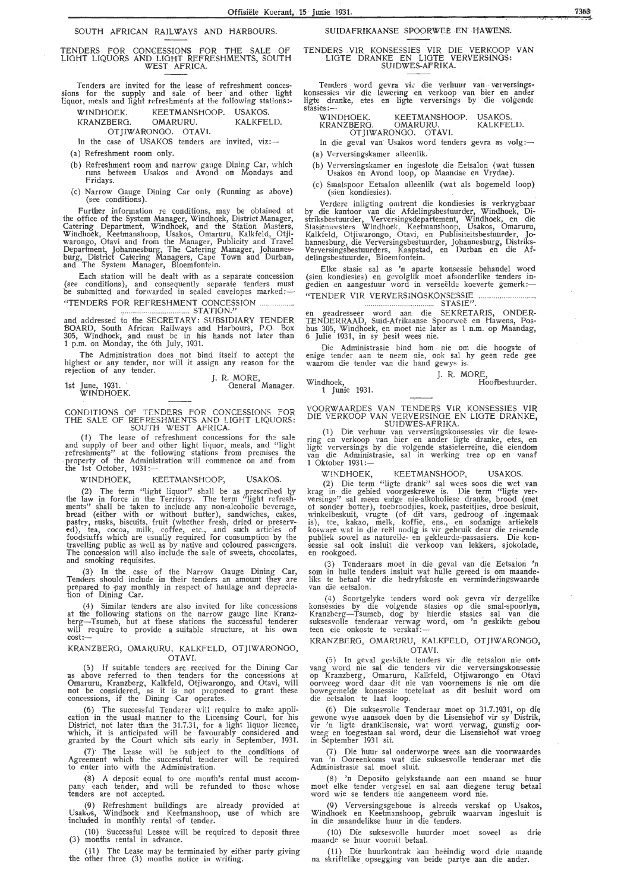#### SOUTH AFRICAN RAILWAYS AND HARBOURS.

#### TENDERS FOR CONCESSIONS FOR THE SALE OF LIGHT LIQUORS AND LIGHT REFRESHMENTS, SOUTH .<br>WEST AFRICA.

Tenders are invited for the lease of refreshment conces- sions for the supply and sale of beer and other light liquor, meals and light refreshments at the following stations:-

WINDHOEK. KEETMANSHOOP. USAKOS.<br>KRANZBERG. OMARURU. KALKFELD. KRANZBERG.

OTJIWARONGO. OTAVI.

In the case of USAKOS tenders are invited, viz:-

(a) Refreshment room only.

- (b) Refreshment room and narrow gauge Dining Car, which runs between Usakos and Avond on Mondays and Fridays.
- (c) Narrow Gauge Dining Car only (Running as above) (see conditions).

Further information re conditions, may be obtained at the office of the System Manager, Windhoek, District Manager, Catering Department, Windhoek, and the Station Masters, Windhoek, Keetmanshoop, Usakos, Omaruru, Kalkfeld, Otjiwarongo, Otavi and from the Manager, Publicity and Travel Department, Johannesburg, The Catering Manager, Johannes- burg, District Catering Managers, Cape Town and Durban, and The System Manager, Bloemfontein.

Each station will be dealt with as a separate concession (see conditions), and consequently separate tenders must<br>be submitted and forwarded in sealed envelopes marked:— "TENDERS FOR REFRESHMENT CONCESSION

STATION." and addressed to the SECRETARY: SUBSIDIARY TENDER BOARD, South African Railways and Harbours, P.O. Box 305, Windhoek, and must be in his hands not later than 1 p.m. on Monday, the 6th July, 1931.

The Administration does not bind itself to accept the highest or any tender, nor will it assign any reason for the rejection of any tender.

1st June, 1931. J. R. MORE, General Manager. WINDHOEK.

CONDITIONS OF TENDERS FOR CONCESSIONS FOR THE SALE OF REFRESHMENTS AND LIGHT LIQUORS: SOUTH WEST AFRICA.

( **1)** The lease of refreshment concessions for *the* sal e and supply of beer and other light liquor, meals, and "light · refreshments" at the following stations from premises the property of the Administration will commence on and from the 1st October, 1931 :-

#### WINDHOEK, KEETMANSHOOP, USAKOS.

(2) The term "light liquor" shall be as prescribed by the law in force in the Territory. The term "light refresh- ments" shall be taken to include any non-alcoholic beverage, bread (either with or without butter), sandwiches, cakes, pastry, rusks, biscuits, fruit (whether fresh, dried or preserved), tea, cocoa, milk, coffee, etc., and such articles of foodstuffs which are usually required for consumption by the travelling public as well as by native and coloured passengers. The concession will also include the saie of sweets, chocolates, and smoking requisites.

(3) In the case of the Narrow Gauge Dining Car, Tenders should include in their tenders an amount they are prepared to pay monthly in respect of haulage and depreciation of Dining Car.

( 4) Similar tenders are also invited for like concessions at the following stations on the narrow gauge line Kranz-<br>berg—Tsumeb, but at these stations the successful tenderer will require to provide a suitable structure, at his own -cost:-

KRANZBERO, OMARURU, KALKFELD, OTJIWARONGO, OTAVI.

(5) If suitable tenders are received for the Dining Car as above referred to then tenders for the concessions at Omaruru, Kranzberg, Kalkfeld, Otjiwarongo, and Otavi, will not be considered, as it is not proposed to grant these concessions, if the Dining Car operates.

(6) The successful Tenderer will require to make application in the usual manner to the Licensing Court, for his District, not later than the 31.7.31, for a light liquor licence, which, it is anticipated will be favourably considered and granted by the Court which sits early in September, 1931.

(7) The Lease will be subject to the conditions of Agreement which the successful tenderer will be required to enter into with the Administration.

(8) A deposit equal to one month's rental must accompany each tender, and will be refunded to those whose tenders are not accepted.

(9) Refreshment buildings are already provided at Usakos, Windhoek and Keetmanshoop, use of which are<br>included in monthly rental of tender.

(3) months rental in advance. (10) Successful Lessee will be required to deposit three

the (11) The Lease may be terminated by either party giving other three (3) months notice in writing.

#### SUIDAFRIKAANSE SPOORWEE EN **HAWENS;**

#### TENDERS VIR KONSESSIES VIR DIE VERKOOP VAN LIOTE DRANKE EN LlOTE VERVERSINOS: SUIDWES~AFRIKA ..

Tenders word gevra vi, die verhuur van verversingskonsessies vir die lewering en verkoop van bier en ander ligte dranke, etes en ligte verversings by die volgende stasies:-<br>WINDHOEK.

#### **WINDHOEK. KEETMANSHOOP. USAKOS.<br>KRANZBERG. OMARURU. KALKFELD.** OTJJWARONGO. OTAVI.

In die geval van Usakos word tenders gevra as volg:-(a) Verversingskamer alleenlik.

- (b) Verversingskamer en ingeslote die Eetsalon (wat tussen Usakos en Avond loop, op Maandae en Vrydae).
- (c) Smalspoor Eetsalon alleenlik (wat als bogemeld loop) (sien kondiesies).

Verdere inligting omtrent die kondiesies is verkrygbaar by die kantoor van die Afdelingsbestuurder, Windhoek, Distriksbestuurder, Verversingsdepartement, Windhoek, en die Stasiemeesters Windhoek, Keetmanshoop, Usakos, Omaruru, Kalkfeld, Otjiwarongo, Otavi, en Publisiteitsbestuurder, Johannesburg, die Verversingsbestuurder, Johannesburg, Distriks-Verversingsbestuurders, Kaapstad, en Durban **en** die Afdelingsbestuurder, Bloemfontein.

Elke stasie sal as 'n aparte konsessie behandel word ( sien kondiesies) en gevolglik moet afsonderlike tenders **.in**gedien en aangestuur word in verseelde koeverte gemerk :- "TENDER VIR VERVERSINGSKONSESSIE . . ....... . . ...... STASIE".

en geadresseer word aan die SEKRETARIS, ONDER-TENDERRAAD, Suid-Afrikaanse Spoorwee en Hawens, Posbus 305, Windhoek, en moet nie later as 1 n.m. op Maandag, 6 Julie 1931, in sy besit wees nie.

Die Administrasie bind horn nie om die hoogste of enige tender aan *te* neem nie, ook sal hy geen rede gee waarom die tender van die hand gewys is.

J. R. MORE, Windhoek, **Hoofbestuurder**. 1 Junie 1931.

VOORWAARDES VAN TENDERS VIR KONSESSIES VIR. DIE VERKOOP VAN VERVERSINGE EN LIGTE DRANKE, SUIDWES-AFRIKA.

(1) Die verhuur van verversingskonsessies vir die lewering en verkoop van bier en ander ligte dranke, etes, en<br>ligte verversings by die volgende stasieterreine, die eiendom van die Administrasie, sal in werking tree op en vanaf 1 Oktober 1931:-

WINDHOEK, KEETMANSHOOP, USAKOS.

(2) Die term "ligte drank" sal wees soos die wet van krag in die gebied voorgeskrewe is. Die term "ligte verversings" sal meen enige nie-alkoholiese dranke, brood (met ot sonder hotter), toebroodjies, koek, pasteitjies, droe beskuit, winkelbeskuit, vrugte (of dit vars, gedroog of ingemaak is), tee, kakao, melk, koffie, ens., en sodanige artiekels kosware wat in die reel nodig is vir gebruik deur die reisende publiek sowel as naturelle- en gekleurde-passasiers. Die konsessie sal ook insluit die verkoop van lekkers, sjokolade, en rookgoed.

(3) Tenderaars moet in die geval van die Eetsalon *<sup>1</sup>* n som in hulle tenders insluit wat hulle gereed is om maande- liks te betaal vir die bedryfskoste en vermindetingswaarde van die eetsalon.

( 4) Soortgelyke tenders word ook gevra vir dergelike konsessies by die volgende stasies op die smal-spoorlyn, Kranzberg-Tsumeb, dog by hierdie stasies sal van die suksesvolle tenderaar verwag word, om 'n geskikte gebou<br>teen eie onkoste te verskaf:—

KRANZBERG, OMARURU, KALKFELD, OTJIWARONGO, **OTAVI.** 

(5) In geval geskikte tenders vir die eetsalon nie ontvang word nie sal die tenders vir die verversingskonsessie op Kranzberg, Omaruru, Kalkfeld, Otjiwarongo en Otavi oorweeg word daar dit nie van voornemens is nie om die bowegemelde konsessie toetelaat as dit besluit word om<br>die eetsalon te laat loop.

(6) Die suksesvolle Tenderaar moet op 31.7.1931, op die gewone wyse aansoek doen by die Lisensiehof vir sy Distrik,<br>vir 'n ligte dranklisensie, wat word verwag, gunstig oorweeg en toegestaan sal word, deur die Lisensiehof wat vroeg in September 1931 sit.

(7) Die huur sal onderworpe wees aan die voorwaardes van 'n Ooreenkoms wat die suksesvolle tenderaar met die Administrasie sal moet sluit.

(8) 'n Deposito gelykstaande aan een maand se huur moet elke tender vergesel en sal aan diegene terug betaal word wie se tenders nie aangeneem word nie.

(9) Verversingsgeboue is alreeds verskaf op Usakos, Windhoek en Keetmanshoop, gebruik waarvan ingesluit is in die maandelikse huur in die tenders.

(10) Die suksesvolle huurder moet soveel as drie maande se huur vooruit betaal.

(11) Die huurkontrak kan beeindig word drie maande na skriftelike opsegging van beide partye aan die ander.